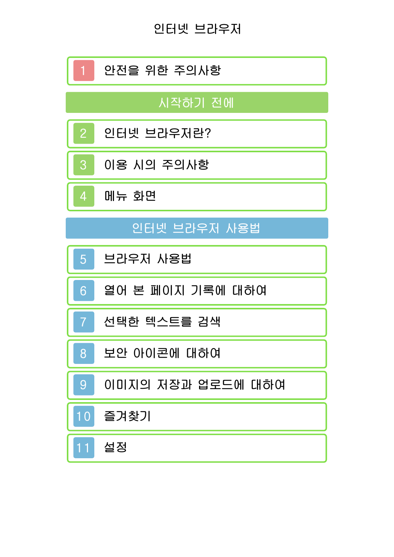인터넷 브라우저

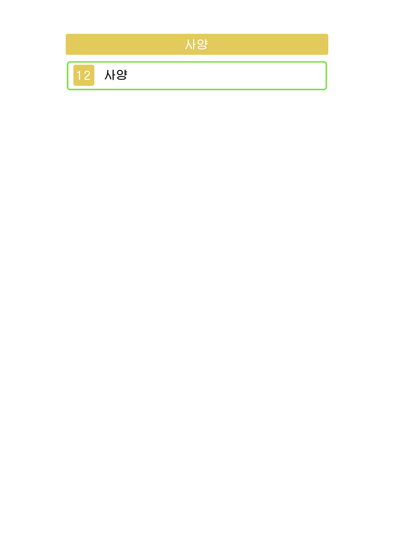

12 [사양](#page-19-0)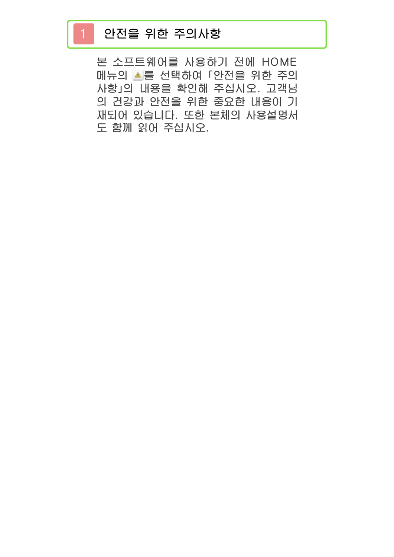## <span id="page-2-0"></span>1 안전을 위한 주의사항

본 소프트웨어를 사용하기 전에 HOME 메뉴의 ■를 선택하여 「안전을 위한 주의 사항」의 내용을 확인해 주십시오. 고객님 의 건강과 안전을 위한 중요한 내용이 기 재되어 있습니다. 또한 본체의 사용설명서 도 함께 읽어 주십시오.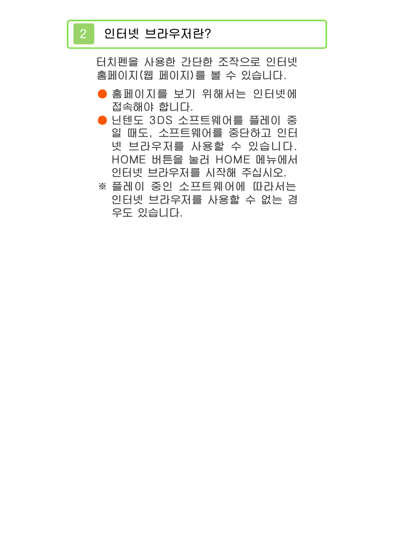## <span id="page-3-0"></span>2 인터넷 브라우저란?

터치펜을 사용한 간단한 조작으로 인터넷 홈페이지(웹 페이지)를 볼 수 있습니다.

- 홈페이지를 보기 위해서는 인터넷에 접속해야 합니다.
- 닌텐도 3DS 소프트웨어를 플레이 중 일 때도, 소프트웨어를 중단하고 인터 넷 브라우저를 사용할 수 있습니다. HOME 버튼을 눌러 HOME 메뉴에서 인터넷 브라우저를 시작해 주십시오.
- ※ 플레이 중인 소프트웨어에 따라서는 인터넷 브라우저를 사용할 수 없는 경 우도 있습니다.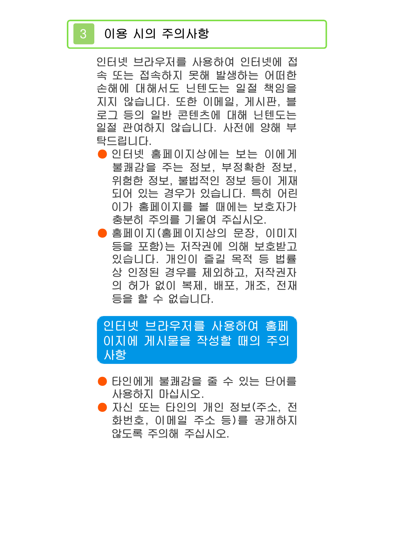# <span id="page-4-0"></span>3 이용 시의 주의사항

인터넷 브라우저를 사용하여 인터넷에 접 속 또는 접속하지 못해 발생하는 어떠한 손해에 대해서도 닌텐도는 일절 책임을 지지 않습니다. 또한 이메일, 게시판, 블 로그 등의 일반 콘텐츠에 대해 닌텐도는 일절 관여하지 않습니다. 사전에 양해 부 탁드립니다.

- 인터넷 홈페이지상에는 보는 이에게 불쾌감을 주는 정보, 부정확한 정보, 위험한 정보, 불법적인 정보 등이 게재 되어 있는 경우가 있습니다. 특히 어린 이가 홈페이지를 볼 때에는 보호자가 충분히 주의를 기울여 주십시오.
- 홈페이지(홈페이지상의 문장, 이미지 등을 포함)는 저작권에 의해 보호받고 있습니다. 개인이 즐길 목적 등 법률 상 인정된 경우를 제외하고, 저작권자 의 허가 없이 복제, 배포, 개조, 전재 등을 할 수 없습니다.

사항 이지에 게시물을 작성할 때의 주의 인터넷 브라우저를 사용하여 홈페

- 타인에게 불쾌감을 줄 수 있는 단어를 사용하지 마십시오.
- 자신 또는 타인의 개인 정보(주소, 전 화번호, 이메일 주소 등)를 공개하지 않도록 주의해 주십시오.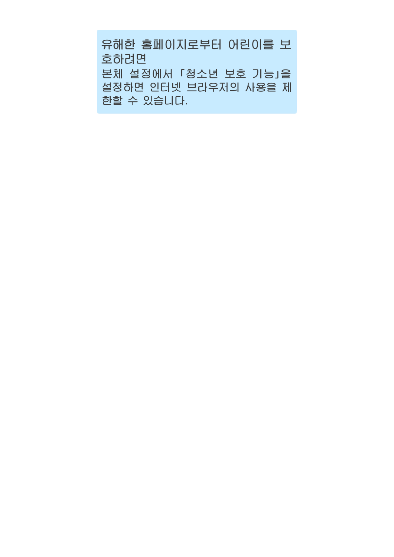한할 수 있습니다. 설정하면 인터넷 브라우저의 사용을 제 본체 설정에서 「청소년 보호 기능」을 호하려면 유해한 홈페이지로부터 어린이를 보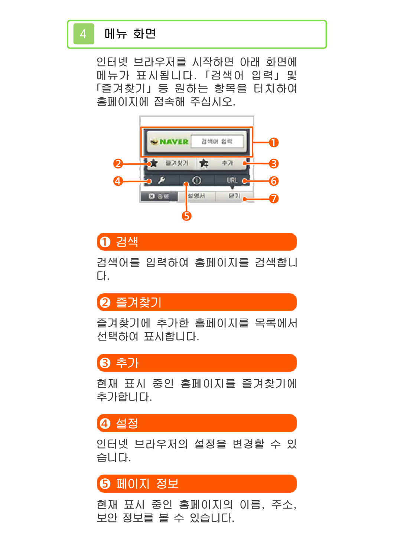## <span id="page-6-0"></span>4 메뉴 화면

인터넷 브라우저를 시작하면 아래 화면에 메뉴가 표시됩니다. 「검색어 입력」 및 「즐겨찾기」 등 원하는 항목을 터치하여 홈페이지에 접속해 주십시오.



## ❶ 검색

검색어를 입력하여 홈페이지를 검색합니 다.

# ❷ 즐겨찾기

즐겨찾기에 추가한 홈페이지를 목록에서 선택하여 표시합니다.

# ❸ 추가

현재 표시 중인 홈페이지를 즐겨찾기에 추가합니다.

# **④ 설정**

인터넷 브라우저의 설정을 변경할 수 있 습니다.

# ❺ 페이지 정보

현재 표시 중인 홈페이지의 이름, 주소, 보안 정보를 볼 수 있습니다.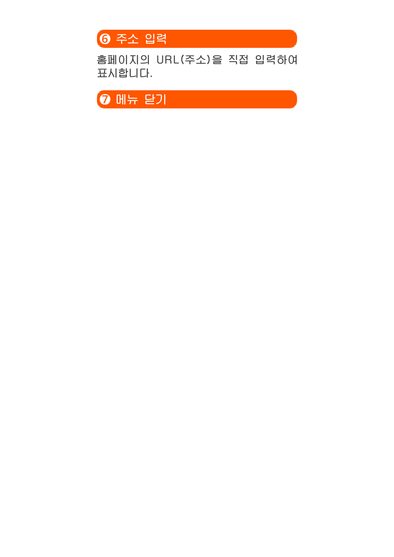

홈페이지의 URL(주소)을 직접 입력하여 표시합니다.

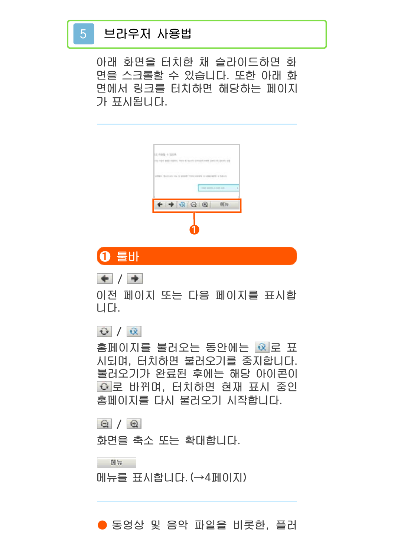## <span id="page-8-0"></span>5 브라우저 사용법

아래 화면을 터치한 채 슬라이드하면 화 면을 스크롤할 수 있습니다. 또한 아래 화 면에서 링크를 터치하면 해당하는 페이지 가 표시됩니다.

| LL PINE 1: 105.<br>all what all silent when the countries was been to be all | the starter-assembly that |                       |              |  |
|------------------------------------------------------------------------------|---------------------------|-----------------------|--------------|--|
|                                                                              |                           |                       |              |  |
| ATTRO- Boll als lik & great "concerns & citie with a fighth                  |                           |                       |              |  |
|                                                                              |                           | THE MEET, A RIVER AVE |              |  |
|                                                                              | $+ + 399$                 |                       | <b>OL 19</b> |  |
|                                                                              |                           |                       |              |  |



 $+$  /  $+$ 

이전 페이지 또는 다음 페이지를 표시합 니다.

#### $\Theta$  /  $\hat{\alpha}$

홈페이지를 불러오는 동안에는 <mark>회</mark>로 표 시되며, 터치하면 불러오기를 중지합니다. 불러오기가 완료된 후에는 해당 아이콘이 로 바뀌며, 터치하면 현재 표시 중인 홈페이지를 다시 불러오기 시작합니다.

#### $\Theta / \Theta$

화면을 축소 또는 확대합니다.

 $M_{\rm H}$ 

메뉴를 표시합니다.(→4페이지)

#### ● 동영상 및 음악 파일을 비롯한, 플러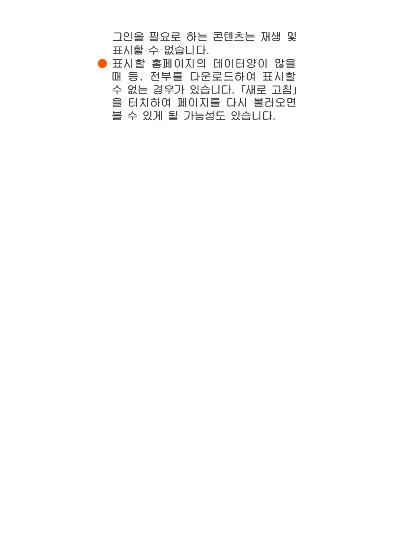그인을 필요로 하는 콘텐츠는 재생 및 표시할 수 없습니다.

● 표시할 홈페이지의 데이터양이 많을 때 등, 전부를 다운로드하여 표시할 수 없는 경우가 있습니다. 「새로 고침」 을 터치하여 페이지를 다시 불러오면 볼 수 있게 될 가능성도 있습니다.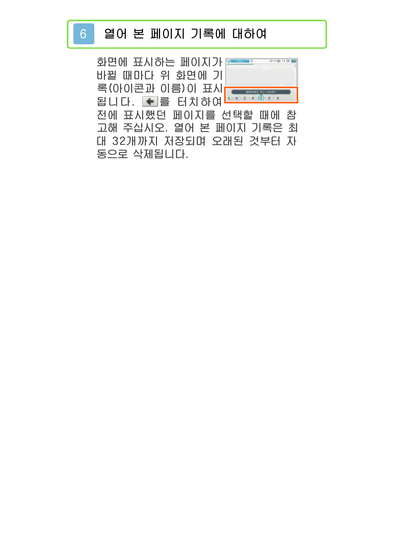# <span id="page-10-0"></span>6 열어 본 페이지 기록에 대하여

화면에 표시하는 페이지가 <del>- - -</del> 바뀔 때마다 위 화면에 기록(아이콘과 이름)이 표시 됩니다. ┗를 터치하여 전에 표시했던 페이지를 선택할 때에 참 고해 주십시오. 열어 본 페이지 기록은 최 대 32개까지 저장되며 오래된 것부터 자 동으로 삭제됩니다.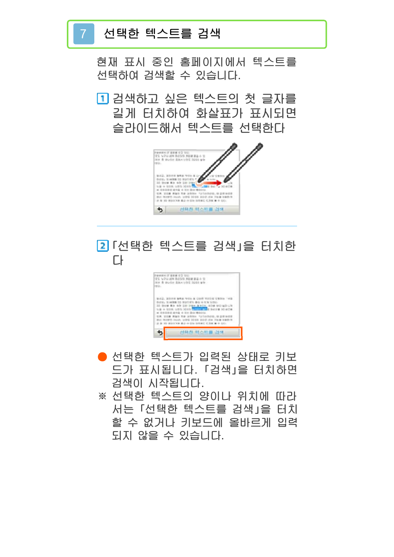### 7 선택한 텍스트를 검색

현재 표시 중인 홈페이지에서 텍스트를 선택하여 검색할 수 있습니다.

검색하고 싶은 텍스트의 첫 글자를 길게 터치하여 화살표가 표시되면 슬라이드해서 텍스트를 선택한다



# 「선택한 텍스트를 검색」을 터치한 다



- 선택한 텍스트가 입력된 상태로 키보 드가 표시됩니다. 「검색」을 터치하면 검색이 시작됩니다.
- ※ 선택한 텍스트의 양이나 위치에 따라 서는 「선택한 텍스트를 검색」을 터치 할 수 없거나 키보드에 올바르게 입력 되지 않을 수 있습니다.

<span id="page-11-0"></span>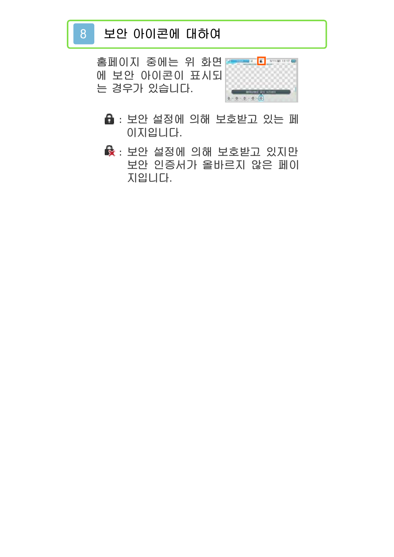# <span id="page-12-0"></span>8 보안 아이콘에 대하여

홈페이지 중에는 위 화 면에 보안 아이콘이 표시되 는 경우가 있습니다.



- : 보안 설정에 의해 보호받고 있는 페 이지입니다.
- : 보안 설정에 의해 보호받고 있지만 보안 인증서가 올바르지 않은 페이 지입니다.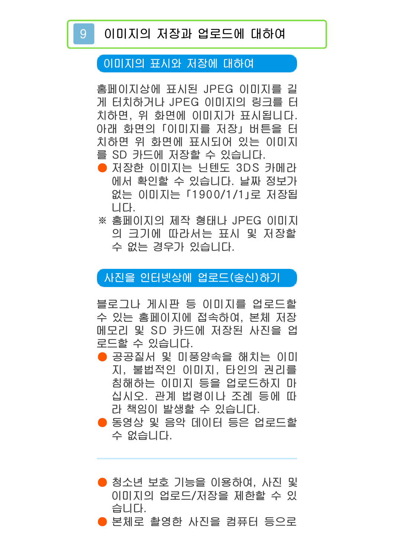#### <span id="page-13-0"></span>이미지의 표시와 저장에 대하여

홈페이지상에 표시된 JPEG 이미지를 길 게 터치하거나 JPEG 이미지의 링크를 터 치하면, 위 화면에 이미지가 표시됩니다. 아래 화면의 「이미지를 저장」 버튼을 터 치하면 위 화면에 표시되어 있는 이미지 를 SD 카드에 저장할 수 있습니다.

- 저장한 이미지는 닌텐도 3DS 카메라 에서 확인할 수 있습니다. 날짜 정보가 없는 이미지는 「1900/1/1」로 저장됩 니다.
- ※ 홈페이지의 제작 형태나 JPEG 이미지 의 크기에 따라서는 표시 및 저장할 수 없는 경우가 있습니다.

#### 사진을 인터넷상에 업로드(송신)하기

블로그나 게시판 등 이미지를 업로드할 수 있는 홈페이지에 접속하여, 본체 저장 메모리 및 SD 카드에 저장된 사진을 업 로드할 수 있습니다.

- 공공질서 및 미풍양속을 해치는 이미 지, 불법적인 이미지, 타인의 권리를 침해하는 이미지 등을 업로드하지 마 십시오. 관계 법령이나 조례 등에 따 라 책임이 발생할 수 있습니다.
- 동영상 및 음악 데이터 등은 업로드할 수 없습니다.
- 청소년 보호 기능을 이용하여, 사진 및 이미지의 업로드/저장을 제한할 수 있 습니다.
- 본체로 촬영한 사진을 컴퓨터 등으로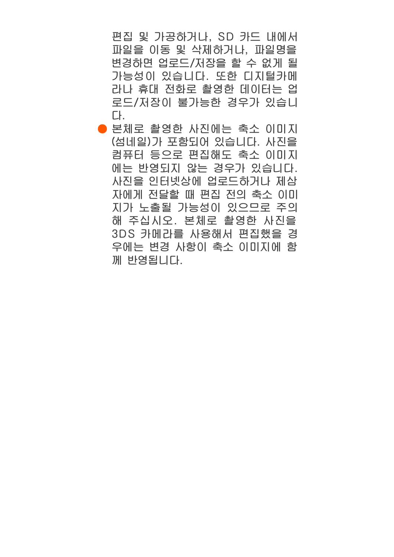편집 및 가공하거나, SD 카드 내에서 파일을 이동 및 삭제하거나, 파일명을 변경하면 업로드/저장을 할 수 없게 될 가능성이 있습니다. 또한 디지털카메 라나 휴대 전화로 촬영한 데이터는 업 로드/저장이 불가능한 경우가 있습니 다.

● 본체로 촬영한 사진에는 축소 이미지 (섬네일)가 포함되어 있습니다. 사진을 컴퓨터 등으로 편집해도 축소 이미지 에는 반영되지 않는 경우가 있습니다. 사진을 인터넷상에 업로드하거나 제삼 자에게 전달할 때 편집 전의 축소 이미 지가 노출될 가능성이 있으므로 주의 해 주십시오. 본체로 촬영한 사진을 3DS 카메라를 사용해서 편집했을 경 우에는 변경 사항이 축소 이미지에 함 께 반영됩니다.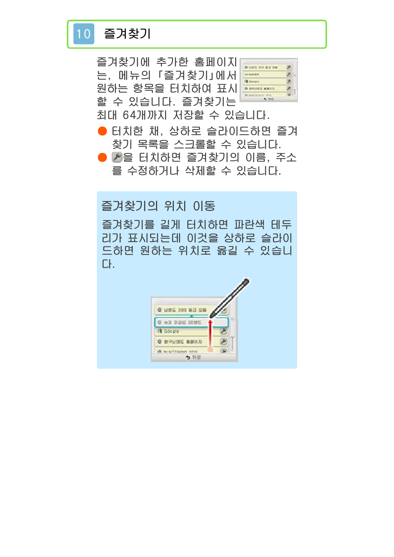# <span id="page-15-0"></span>10 즐겨찾기

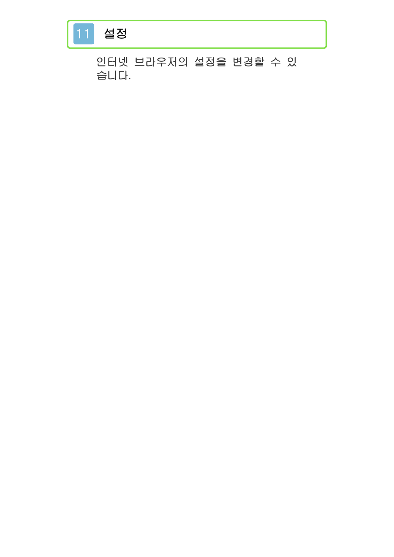# <span id="page-16-0"></span>11 설정

인터넷 브라우저의 설정을 변경할 수 있 습니다.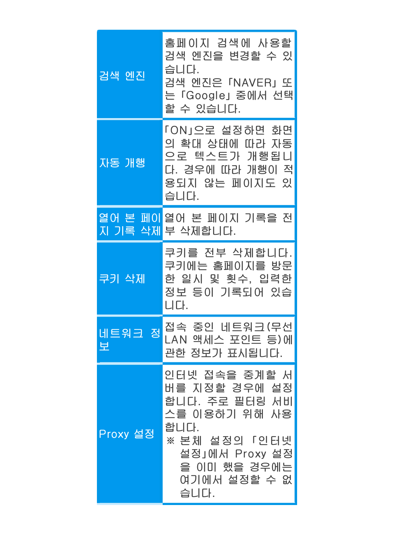| 검색 엔진       | 홈페이지 검색에 사용할<br>검색 엔진을 변경할 수 있<br>습니다.<br>검색 엔진은 「NAVER」또<br>는「Google」 중에서 선택<br>할 수 있습니다.                                                           |
|-------------|------------------------------------------------------------------------------------------------------------------------------------------------------|
| 자동 개행       | 「ON」으로 설정하면 화면<br>의 확대 상태에 따라 자동<br>으로 텍스트가 개행됩니<br>다. 경우에 따라 개행이 적<br>용되지 않는 페이지도 있<br>습니다.                                                         |
|             | <u>열어 본 페이</u> 열어 본 페이지 기록을 전<br>지 기록 삭제 부 삭제합니다.                                                                                                    |
| 쿠키 삭제       | 쿠키를 전부 삭제합니다.<br>쿠키에는 홈페이지를 방문<br>한 일시 및 횟수, 입력한<br>정보 등이 기록되어 있습<br>니다.                                                                             |
| 네트워크 정<br>보 | 접속 중인 네트워크 (무선<br>LAN 액세스 포인트 등)에<br>관한 정보가 표시됩니다.                                                                                                   |
| Proxy 설정    | 인터넷 접속을 중계할 서<br>버를 지정할 경우에 설정<br>합니다. 주로 필터링 서비<br>스를 이용하기 위해 사용<br>합니다.<br>※ 본체 설정의 「인터넷<br>설정」에서 Proxy 설정<br>을 이미 했을 경우에는<br>여기에서 설정할 수 없<br>습니다. |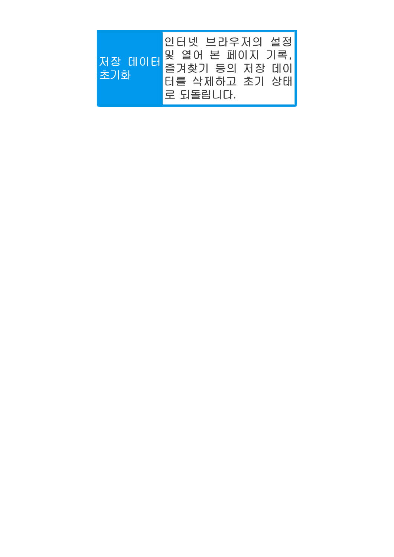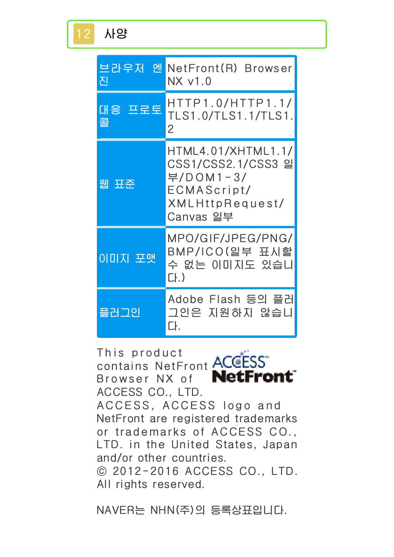| 브라우저 엔<br>진   | NetFront(R) Browser<br>NX v1.0                                                                       |
|---------------|------------------------------------------------------------------------------------------------------|
| 대응 프로토<br>콜   | HTTP1.0/HTTP1.1/<br>TLS1.0/TLS1.1/TLS1.<br>$\overline{2}$                                            |
| 웹 표준          | HTML4.01/XHTML1.1/<br>CSS1/CSS2.1/CSS3 일<br>부/DOM1-3/<br>ECMAScript/<br>XMLHttpRequest/<br>Canvas 일부 |
| <u>이미지 포맷</u> | MPO/GIF/JPEG/PNG/<br>BMP/ICO(일부 표시할<br>수 없는 이미지도 있습니<br>$[$ .)                                       |
| 플러그인          | Adobe Flash 등의 플러<br>그인은 지원하지 않습니<br>Cŀ.                                                             |

This product contains NetFront **ACCESS NetFront** Browser NX of ACCESS CO., LTD. ACCESS, ACCESS logo and NetFront are registered trademarks or trademarks of ACCESS CO., LTD. in the United States, Japan and/or other countries. © 2012-2016 ACCESS CO., LTD. All rights reserved.

NAVER는 NHN(주)의 등록상표입니다.

<span id="page-19-0"></span>12 사양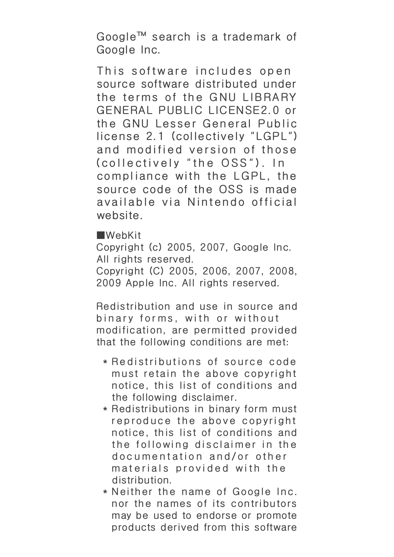Google™ search is a trademark of Google Inc.

This software includes open source software distributed under the terms of the GNU LIBRARY GENERAL PUBLIC LICENSE2.0 or the GNU Lesser General Public license 2.1 (collectively "LGPL") and modified version of those (collectively "the OSS"). In compliance with the LGPL, the source code of the OSS is made available via Nintendo official website.

■WebKit

Copyright (c) 2005, 2007, Google Inc. All rights reserved.

Copyright (C) 2005, 2006, 2007, 2008, 2009 Apple Inc. All rights reserved.

Redistribution and use in source and binary forms, with or without modification, are permitted provided that the following conditions are met:

- \* Redistributions of source code must retain the above copyright notice, this list of conditions and the following disclaimer.
- \* Redistributions in binary form must reproduce the above copyright notice, this list of conditions and the following disclaimer in the documentation and/or other materials provided with the distribution.
- \* Neither the name of Google Inc. nor the names of its contributors may be used to endorse or promote products derived from this software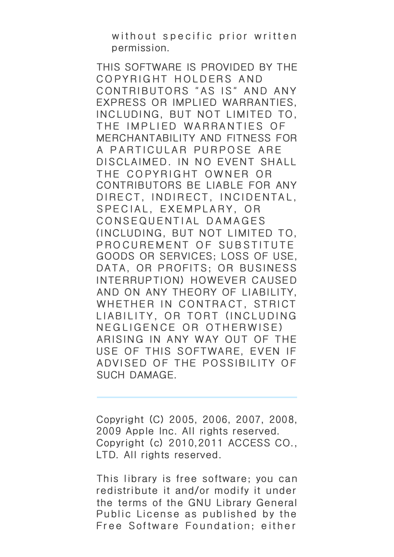without specific prior written permission.

THIS SOFTWARE IS PROVIDED BY THE COPYRIGHT HOLDERS AND CONTRIBUTORS "AS IS" AND ANY EXPRESS OR IMPLIED WARRANTIES, INCLUDING, BUT NOT LIMITED TO, THE IMPLIED WARRANTIES OF MERCHANTABILITY AND FITNESS FOR A PARTICULAR PURPOSE ARE DISCLAIMED. IN NO EVENT SHALL THE COPYRIGHT OWNER OR CONTRIBUTORS BE LIABLE FOR ANY DIRECT, INDIRECT, INCIDENTAL, SPECIAL, EXEMPLARY, OR CONSEQUENTIAL DAMAGES (INCLUDING, BUT NOT LIMITED TO, PROCUREMENT OF SUBSTITUTE GOODS OR SERVICES; LOSS OF USE, DATA, OR PROFITS; OR BUSINESS INTERRUPTION) HOWEVER CAUSED AND ON ANY THEORY OF LIABILITY, WHETHER IN CONTRACT, STRICT LIABILITY, OR TORT (INCLUDING NEGLIGENCE OR OTHERWISE) ARISING IN ANY WAY OUT OF THE USE OF THIS SOFTWARE, EVEN IF ADVISED OF THE POSSIBILITY OF SUCH DAMAGE.

Copyright (C) 2005, 2006, 2007, 2008, 2009 Apple Inc. All rights reserved. Copyright (c) 2010,2011 ACCESS CO., LTD. All rights reserved.

This library is free software; you can redistribute it and/or modify it under the terms of the GNU Library General Public License as published by the Free Software Foundation; either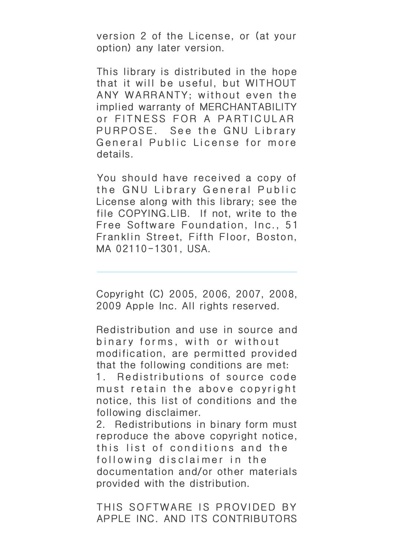version 2 of the License, or (at your option) any later version.

This library is distributed in the hope that it will be useful, but WITHOUT ANY WARRANTY; without even the implied warranty of MERCHANTABILITY or FITNESS FOR A PARTICULAR PURPOSE. See the GNU Library General Public License for more details.

You should have received a copy of the GNU Library General Public License along with this library; see the file COPYING.LIB. If not, write to the Free Software Foundation, Inc., 51 Franklin Street, Fifth Floor, Boston, MA 02110-1301, USA.

Copyright (C) 2005, 2006, 2007, 2008, 2009 Apple Inc. All rights reserved.

Redistribution and use in source and binary forms, with or without modification, are permitted provided that the following conditions are met:

1. Redistributions of source code must retain the above copyright notice, this list of conditions and the following disclaimer.

2. Redistributions in binary form must reproduce the above copyright notice, this list of conditions and the following disclaimer in the documentation and/or other materials provided with the distribution.

THIS SOFTWARE IS PROVIDED BY APPLE INC. AND ITS CONTRIBUTORS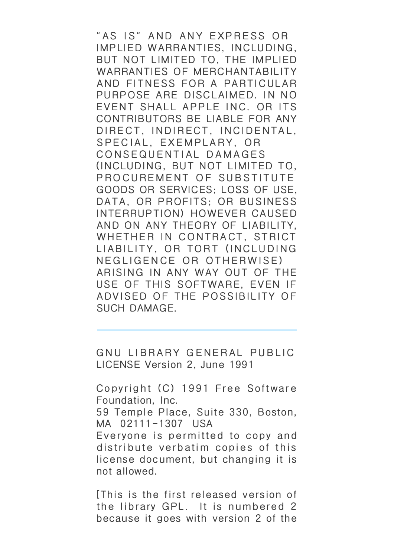"AS IS" AND ANY EXPRESS OR IMPLIED WARRANTIES, INCLUDING, BUT NOT LIMITED TO, THE IMPLIED WARRANTIES OF MERCHANTABILITY AND FITNESS FOR A PARTICULAR PURPOSE ARE DISCLAIMED. IN NO EVENT SHALL APPLE INC. OR ITS CONTRIBUTORS BE LIABLE FOR ANY DIRECT, INDIRECT, INCIDENTAL, SPECIAL, EXEMPLARY, OR CONSEQUENTIAL DAMAGES (INCLUDING, BUT NOT LIMITED TO, PROCUREMENT OF SUBSTITUTE GOODS OR SERVICES; LOSS OF USE, DATA, OR PROFITS; OR BUSINESS INTERRUPTION) HOWEVER CAUSED AND ON ANY THEORY OF LIABILITY, WHETHER IN CONTRACT, STRICT LIABILITY, OR TORT (INCLUDING NEGLIGENCE OR OTHERWISE) ARISING IN ANY WAY OUT OF THE USE OF THIS SOFTWARE, EVEN IF ADVISED OF THE POSSIBILITY OF SUCH DAMAGE.

GNU LIBRARY GENERAL PUBLIC LICENSE Version 2, June 1991

Copyright (C) 1991 Free Software Foundation, Inc. 59 Temple Place, Suite 330, Boston, MA 02111-1307 USA Everyone is permitted to copy and distribute verbatim copies of this license document, but changing it is not allowed.

[This is the first released version of the library GPL. It is numbered 2 because it goes with version 2 of the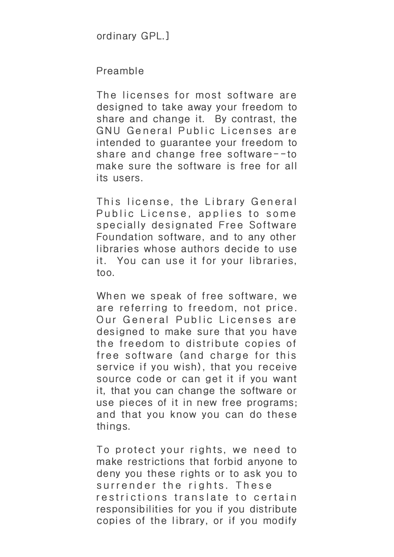#### Preamble

The licenses for most software are designed to take away your freedom to share and change it. By contrast, the GNU General Public Licenses are intended to guarantee your freedom to share and change free software--to make sure the software is free for all its users.

This license, the Library General Public License, applies to some specially designated Free Software Foundation software, and to any other libraries whose authors decide to use it. You can use it for your libraries, too.

When we speak of free software, we are referring to freedom, not price. Our General Public Licenses are designed to make sure that you have the freedom to distribute copies of free software (and charge for this service if you wish), that you receive source code or can get it if you want it, that you can change the software or use pieces of it in new free programs; and that you know you can do these things.

To protect your rights, we need to make restrictions that forbid anyone to deny you these rights or to ask you to surrender the rights. These restrictions translate to certain responsibilities for you if you distribute copies of the library, or if you modify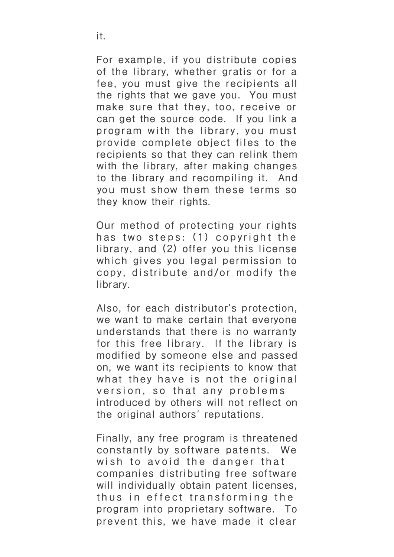For example, if you distribute copies of the library, whether gratis or for a fee, you must give the recipients all the rights that we gave you. You must make sure that they, too, receive or can get the source code. If you link a program with the library, you must provide complete object files to the recipients so that they can relink them with the library, after making changes to the library and recompiling it. And you must show them these terms so they know their rights.

Our method of protecting your rights has two steps: (1) copyright the library, and (2) offer you this license which gives you legal permission to copy, distribute and/or modify the library.

Also, for each distributor's protection, we want to make certain that everyone understands that there is no warranty for this free library. If the library is modified by someone else and passed on, we want its recipients to know that what they have is not the original version, so that any problems introduced by others will not reflect on the original authors' reputations.

Finally, any free program is threatened constantly by software patents. We wish to avoid the danger that companies distributing free software will individually obtain patent licenses, thus in effect transforming the program into proprietary software. To prevent this, we have made it clear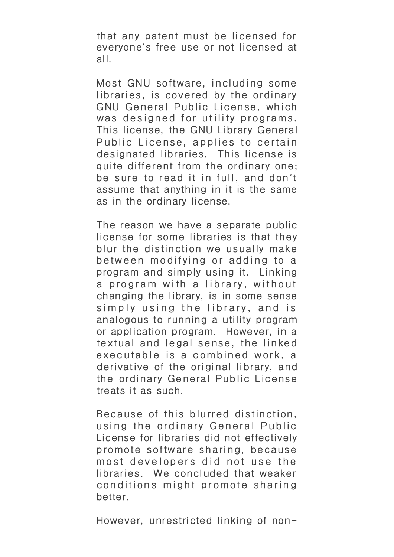that any patent must be licensed for everyone's free use or not licensed at all.

Most GNU software, including some libraries, is covered by the ordinary GNU General Public License, which was designed for utility programs. This license, the GNU Library General Public License, applies to certain designated libraries. This license is quite different from the ordinary one; be sure to read it in full, and don't assume that anything in it is the same as in the ordinary license.

The reason we have a separate public license for some libraries is that they blur the distinction we usually make between modifying or adding to a program and simply using it. Linking a program with a library, without changing the library, is in some sense simply using the library, and is analogous to running a utility program or application program. However, in a textual and legal sense, the linked executable is a combined work, a derivative of the original library, and the ordinary General Public License treats it as such.

Because of this blurred distinction, using the ordinary General Public License for libraries did not effectively promote software sharing, because most developers did not use the libraries. We concluded that weaker conditions might promote sharing better.

However, unrestricted linking of non-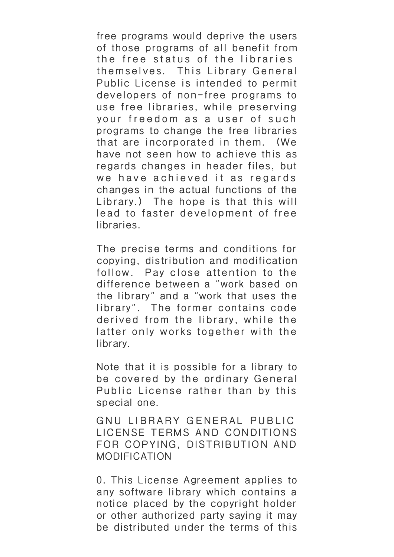free programs would deprive the users of those programs of all benefit from the free status of the libraries themselves. This Library General Public License is intended to permit developers of non-free programs to use free libraries, wh ile preserving your freedom as a user of such programs to change the free libraries that are incorporated in them. (We have not seen how to achieve this as regards changes in header files, but we have achieved it as regards changes in the actual functions of the Library.) The hope is that this will lead to faster development of free libraries.

The precise terms and conditions for copying, distribution and modification follow. Pay close attention to the difference between a "work based on the library" and a "work that uses the library". The former contains code derived from the library, while the latter only works together with the library.

Note that it is possible for a library to be covered by the ordinary General Public License rather than by this special one.

GNU LIBRARY GENERAL PUBLIC LICENSE TERMS AND CONDITIONS FOR COPYING, DISTRIBUTION AND MODIFICATION

0. This License Agreement applies to any software library which contains a notice placed by the copyright holder or other authorized party saying it may be distributed under the terms of this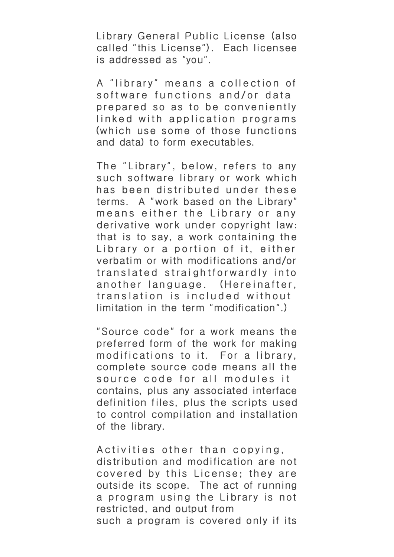Library General Public License (also called "this License"). Each licensee is addressed as "you".

A "library" means a collection of software functions and/or data prepared so as to be conveniently linked with application programs (which use some of those functions and data) to form executables.

The "Library", below, refers to any such software library or work which has been distributed under these terms. A "work based on the Library" means either the Library or any derivative work under copyright law: that is to say, a work containing the Library or a portion of it, either verbatim or with modifications and/or translated straightforwardly into another language. (Hereinafter, translation is included without limitation in the term "modification".)

"Source code" for a work means the preferred form of the work for making modifications to it. For a library, complete source code means all the source code for all modules it contains, plus any associated interface definition files, plus the scripts used to control compilation and installation of the library.

Activities other than copying, distribution and modification are not covered by this License; they are outside its scope. The act of running a program using the Library is not restricted, and output from such a program is covered only if its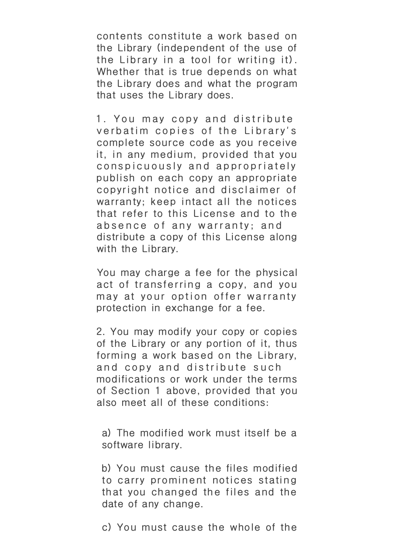contents constitute a work based on the Library (independent of the use of the Library in a tool for writing it). Whether that is true depends on what the Library does and what the program that uses the Library does.

1. You may copy and distribute verbatim copies of the Library's complete source code as you receive it, in any medium, provided that you conspicuously and appropriately publish on each copy an appropriate copyright notice and disclaimer of warranty; keep intact all the notices that refer to this License and to the absence of any warranty; and distribute a copy of this License along with the Library.

You may charge a fee for the physical act of transferring a copy, and you may at your option offer warranty protection in exchange for a fee.

2. You may modify your copy or copies of the Library or any portion of it, thus forming a work based on the Library, and copy and distribute such modifications or work under the terms of Section 1 above, provided that you also meet all of these conditions:

a) The modified work must itself be a software library.

b) You must cause the files modified to carry prominent notices stating that you changed the files and the date of any change.

c) You must cause the whole of the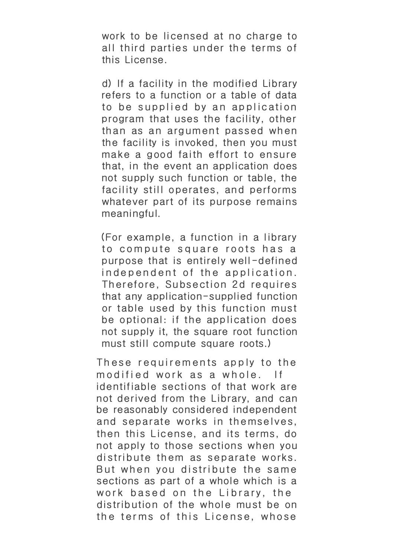work to be licensed at no charge to all third parties under the terms of this License.

d) If a facility in the modified Library refers to a function or a table of data to be supplied by an application program that uses the facility, other than as an argument passed when the facility is invoked, then you must make a good faith effort to ensure that, in the event an application does not supply such function or table, the facility still operates, and performs whatever part of its purpose remains meaningful.

(For example, a function in a library to compute square roots has a purpose that is entirely well-defined independent of the application. Therefore, Subsection 2d requires that any application-supplied function or table used by this function must be optional: if the application does not supply it, the square root function must still compute square roots.)

These requirements apply to the modified work as a whole. If identifiable sections of that work are not derived from the Library, and can be reasonably considered independent and separate works in themselves, then this License, and its terms, do not apply to those sections when you distribute them as separate works. But when you distribute the same sections as part of a whole which is a work based on the Library, the distribution of the whole must be on the terms of this License, whose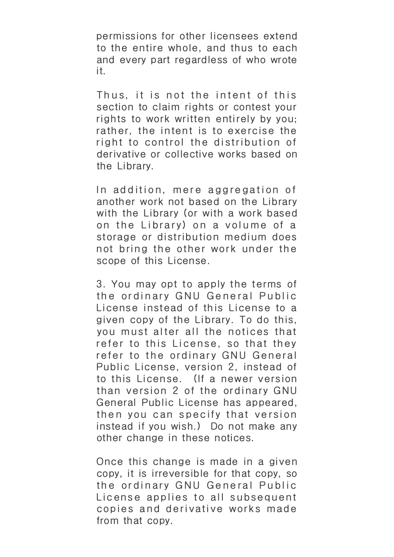permissions for other licensees extend to the entire whole, and thus to each and every part regardless of who wrote it.

Thus, it is not the intent of this section to claim rights or contest your rights to work written entirely by you; rather, the intent is to exercise the right to control the distribution of derivative or collective works based on the Library.

In addition, mere aggregation of another work not based on the Library with the Library (or with a work based on the Library) on a volume of a storage or distribution medium does not bring the other work under the scope of this License.

3. You may opt to apply the terms of the ordinary GNU General Public License instead of this License to a given copy of the Library. To do this, you must alter all the notices that refer to this License, so that they refer to the ordinary GNU General Public License, version 2, instead of to this License. (If a newer version than version 2 of the ordinary GNU General Public License has appeared, then you can specify that version instead if you wish.) Do not make any other change in these notices.

Once this change is made in a given copy, it is irreversible for that copy, so the ordinary GNU General Public License applies to all subsequent copies and derivative works made from that copy.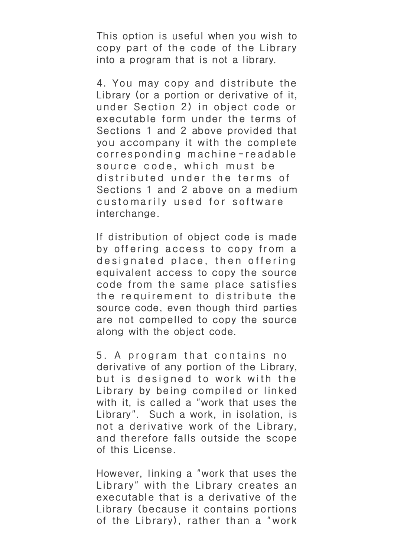This option is useful when you wish to copy part of the code of the Library into a program that is not a library.

4. You may copy and distribute the Library (or a portion or derivative of it, under Section 2) in object code or executable form under the terms of Sections 1 and 2 above provided that you accompany it with the complete corresponding machine-readable source code, which must be distributed under the terms of Sections 1 and 2 above on a medium customarily used for software interchange.

If distribution of object code is made by offering access to copy from a designated place, then offering equivalent access to copy the source code from the same place satisfies the requirement to distribute the source code, even though third parties are not compelled to copy the source along with the object code.

5. A program that contains no derivative of any portion of the Library, but is designed to work with the Library by being compiled or linked with it, is called a "work that uses the Library". Such a work, in isolation, is not a derivative work of the Library, and therefore falls outside the scope of this License.

However, linking a "work that uses the Library" with the Library creates an executable that is a derivative of the Library (because it contains portions of the Library), rather than a "work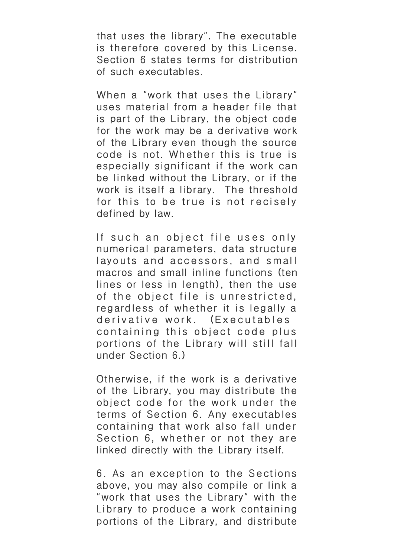that uses the library". The executable is therefore covered by this License. Section 6 states terms for distribution of such executables.

When a "work that uses the Library" uses material from a header file that is part of the Library, the object code for the work may be a derivative work of the Library even though the source code is not. Whether this is true is especially significant if the work can be linked without the Library, or if the work is itself a library. The threshold for this to be true is not recisely defined by law.

If such an object file uses only numerical parameters, data structure layouts and accessors, and small macros and small inline functions (ten lines or less in length), then the use of the object file is unrestricted, regardless of whether it is legally a derivative work. (Executables containing this object code plus portions of the Library will still fall under Section 6.)

Otherwise, if the work is a derivative of the Library, you may distribute the object code for the work under the terms of Section 6. Any executables containing that work also fall under Section 6, whether or not they are linked directly with the Library itself.

6. As an exception to the Sections above, you may also compile or link a "work that uses the Library" with the Library to produce a work containing portions of the Library, and distribute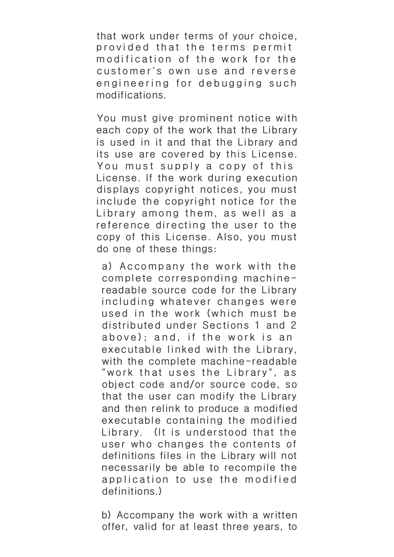that work under terms of your choice, provided that the terms permit modification of the work for the customer's own use and reverse engineering for debugging such modifications.

You must give prominent notice with each copy of the work that the Library is used in it and that the Library and its use are covered by this License. You must supply a copy of this License. If the work during execution displays copyright notices, you must include the copyright notice for the Library among them, as well as a reference directing the user to the copy of this License. Also, you must do one of these things:

a) Accompany the work with the complete corresponding machinereadable source code for the Library including whatever changes were used in the work (which must be distributed under Sections 1 and 2 above); and, if the work is an executable linked with the Library, with the complete machine-readable "work that uses the Library", as object code and/or source code, so that the user can modify the Library and then relink to produce a modified executable containing the modified Library. (It is understood that the user who changes the contents of definitions files in the Library will not necessarily be able to recompile the application to use the modified definitions.)

b) Accompany the work with a written offer, valid for at least three years, to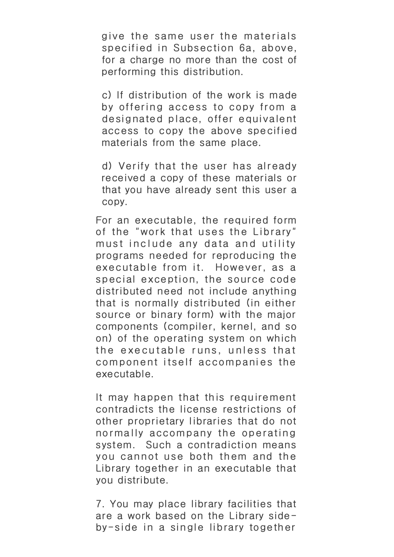give the same user the materials specified in Subsection 6a, above, for a charge no more than the cost of performing this distribution.

c) If distribution of the work is made by offering access to copy from a designated place, offer equivalent access to copy the above specified materials from the same place.

d) Verify that the user has already received a copy of these materials or that you have already sent this user a copy.

For an executable, the required form of the "work that uses the Library" must include any data and utility programs needed for reproducing the executable from it. However, as a special exception, the source code distributed need not include anything that is normally distributed (in either source or binary form) with the major components (compiler, kernel, and so on) of the operating system on which the executable runs, unless that component itself accompanies the executable.

It may happen that this requirement contradicts the license restrictions of other proprietary libraries that do not norma lly accompany the operating system. Such a contradiction means you cannot use both them and the Library together in an executable that you distribute.

7. You may place library facilities that are a work based on the Library sideby-side in a single library together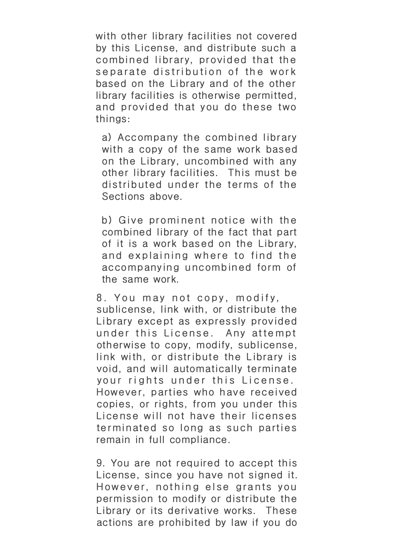with other library facilities not covered by this License, and distribute such a combined library, provided that the separate distribution of the work based on the Library and of the other library facilities is otherwise permitted, and provided that you do these two things:

a) Accompany the combined library with a copy of the same work based on the Library, uncombined with any other library facilities. This must be distributed under the terms of the Sections above.

b) Give prominent notice with the combined library of the fact that part of it is a work based on the Library, and explaining where to find the accompanying uncombined form of the same work.

8. You may not copy, modify, sublicense, link with, or distribute the Library except as expressly provided under this License. Any attempt otherwise to copy, modify, sublicense, link with, or distribute the Library is void, and will automatically terminate your rights under this License. However, parties who have received copies, or rights, from you under this License will not have their licenses terminated so long as such parties remain in full compliance.

9. You are not required to accept this License, since you have not signed it. However, nothing else grants you permission to modify or distribute the Library or its derivative works. These actions are prohibited by law if you do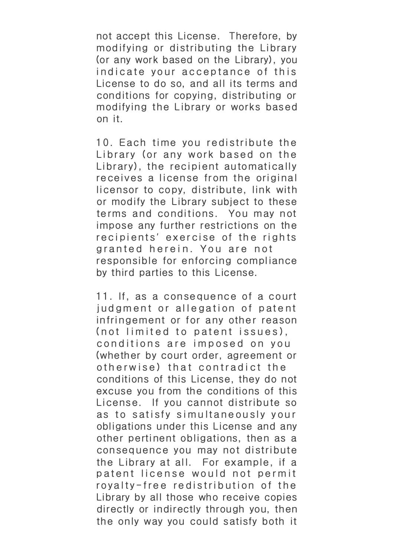not accept this License. Therefore, by modifying or distributing the Library (or any work based on the Library), you indicate your acceptance of this License to do so, and all its terms and conditions for copying, distributing or modifying the Library or works based on it.

10. Each time you redistribute the Library (or any work based on the Library), the recipient automatically receives a license from the original licensor to copy, distribute, link with or modify the Library subject to these terms and conditions. You may not impose any further restrictions on the recipients' exercise of the rights granted herein. You are not responsible for enforcing compliance by third parties to this License.

11. If, as a consequence of a court judgment or allegation of patent infringement or for any other reason (not limited to patent issues), conditions are imposed on you (whether by court order, agreement or otherwise) that contradict the conditions of this License, they do not excuse you from the conditions of this License. If you cannot distribute so as to satisfy simultaneously your obligations under this License and any other pertinent obligations, then as a consequence you may not distribute the Library at all. For example, if a patent license would not permit royalty-free redistribution of the Library by all those who receive copies directly or indirectly through you, then the only way you could satisfy both it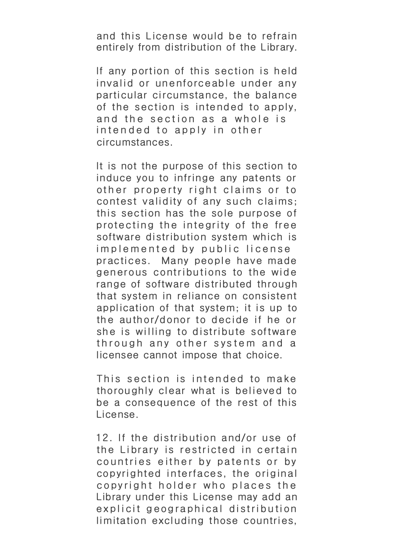and this License would be to refrain entirely from distribution of the Library.

If any portion of this section is held invalid or unenforceable under any particular circumstance, the balance of the section is intended to apply, and the section as a whole is intended to apply in other circumstances.

It is not the purpose of this section to induce you to infringe any patents or other property right claims or to contest validity of any such claims; this section has the sole purpose of protecting the integrity of the free software distribution system which is implemented by public license practices. Many people have made generous contributions to the wide range of software distributed through that system in reliance on consistent application of that system; it is up to the author/donor to decide if he or she is willing to distribute software through any other system and a licensee cannot impose that choice.

This section is intended to make thoroughly clear what is believed to be a consequence of the rest of this License.

12. If the distribution and/or use of the Library is restricted in certain countries either by patents or by copyrighted interfaces, the original copyright holder who places the Library under this License may add an explicit geographical distribution limitation excluding those countries,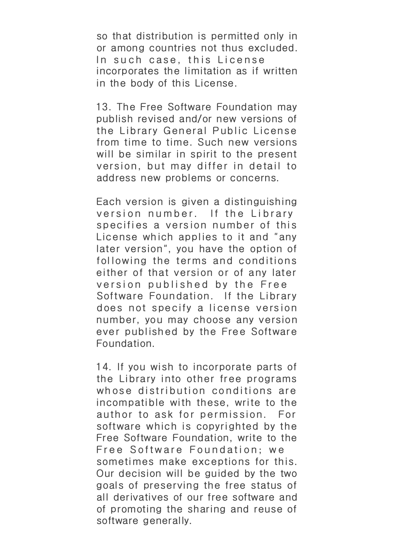so that distribution is permitted only in or among countries not thus excluded. In such case, this License incorporates the limitation as if written in the body of this License.

13. The Free Software Foundation may publish revised and/or new versions of the Library General Public License from time to time. Such new versions will be similar in spirit to the present version, but may differ in detail to address new problems or concerns.

Each version is given a distinguishing version number. If the Library specifies a version number of this License wh ich applies to it and "any later version", you have the option of following the terms and conditions either of that version or of any later version published by the Free Software Foundation. If the Library does not specify a license version number, you may choose any version ever published by the Free Software Foundation.

14. If you wish to incorporate parts of the Library into other free programs whose distribution conditions are incompatible with these, write to the author to ask for permission. For software which is copyrighted by the Free Software Foundation, write to the Free Software Foundation; we sometimes make exceptions for this. Our decision will be guided by the two goals of preserving the free status of all derivatives of our free software and of promoting the sharing and reuse of software generally.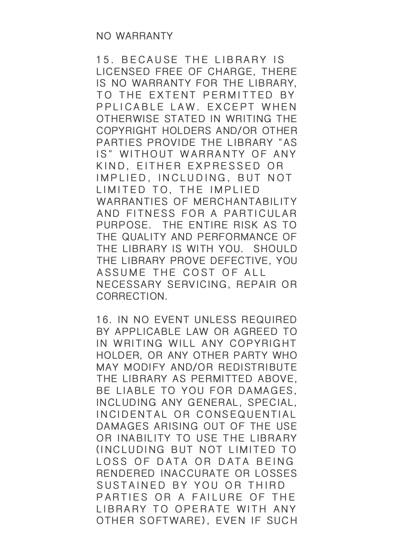15. BECAUSE THE LIBRARY IS LICENSED FREE OF CHARGE, THERE IS NO WARRANTY FOR THE LIBRARY, TO THE EXTENT PERMITTED BY PPLICABLE LAW. EXCEPT WHEN OTHERWISE STATED IN WRITING THE COPYRIGHT HOLDERS AND/OR OTHER PARTIES PROVIDE THE LIBRARY "AS IS" WITHOUT WARRANTY OF ANY KIND, EITHER EXPRESSED OR IMPLIED, INCLUDING, BUT NOT LIMITED TO, THE IMPLIED WARRANTIES OF MERCHANTABILITY AND FITNESS FOR A PARTICULAR PURPOSE. THE ENTIRE RISK AS TO THE QUALITY AND PERFORMANCE OF THE LIBRARY IS WITH YOU. SHOULD THE LIBRARY PROVE DEFECTIVE, YOU ASSUME THE COST OF ALL NECESSARY SERVICING, REPAIR OR CORRECTION.

16. IN NO EVENT UNLESS REQUIRED BY APPLICABLE LAW OR AGREED TO IN WRITING WILL ANY COPYRIGHT HOLDER, OR ANY OTHER PARTY WHO MAY MODIFY AND/OR REDISTRIBUTE THE LIBRARY AS PERMITTED ABOVE, BE LIABLE TO YOU FOR DAMAGES, INCLUDING ANY GENERAL, SPECIAL, INCIDENTAL OR CONSEQUENTIAL DAMAGES ARISING OUT OF THE USE OR INABILITY TO USE THE LIBRARY (INCLUDING BUT NOT LIMITED TO LOSS OF DATA OR DATA BEING RENDERED INACCURATE OR LOSSES SUSTAINED BY YOU OR THIRD PARTIES OR A FAILURE OF THE LIBRARY TO OPERATE WITH ANY OTHER SOFTWARE), EVEN IF SUCH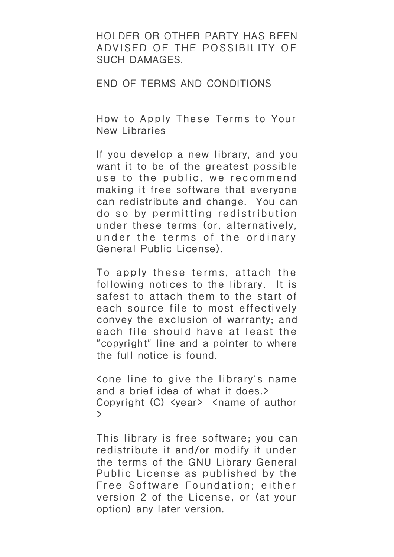HOLDER OR OTHER PARTY HAS BEEN ADVISED OF THE POSSIBILITY OF SUCH DAMAGES.

END OF TERMS AND CONDITIONS

How to Apply These Terms to Your New Libraries

If you develop a new library, and you want it to be of the greatest possible use to the public, we recommend making it free software that everyone can redistribute and change. You can do so by permitting redistribution under these terms (or, alternatively, under the terms of the ordinary General Public License).

To apply these terms, attach the following notices to the library. It is safest to attach them to the start of each source file to most effectively convey the exclusion of warranty; and each file should have at least the "copyright" line and a pointer to where the full notice is found.

<one line to give the library's name and a brief idea of what it does.> Copyright (C) <year> <name of author >

This library is free software; you can redistribute it and/or modify it under the terms of the GNU Library General Public License as published by the Free Software Foundation; either version 2 of the License, or (at your option) any later version.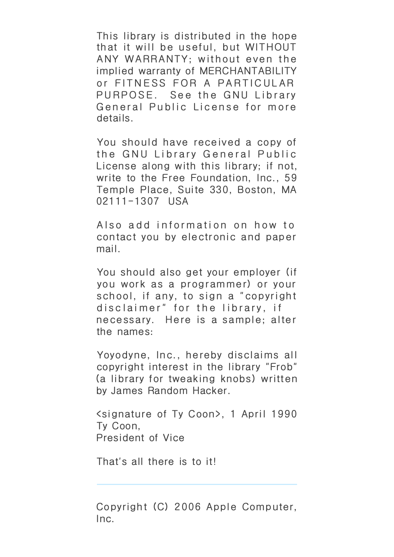This library is distributed in the hope that it will be useful, but WITHOUT ANY WARRANTY; without even the implied warranty of MERCHANTABILITY or FITNESS FOR A PARTICULAR PURPOSE. See the GNU Library General Public License for more details.

You should have received a copy of the GNU Library General Public License along with this library; if not, write to the Free Foundation, Inc., 59 Temple Place, Suite 330, Boston, MA 02111-1307 USA

Also add information on how to contact you by electronic and paper mail.

You should also get your employer (if you work as a programmer) or your school, if any, to sign a "copyright disc laimer" for the library, if necessary. Here is a sample; alter the names:

Yoyodyne, Inc., hereby disclaims all copyright interest in the library "Frob" (a library for tweaking knobs) written by James Random Hacker.

<signature of Ty Coon>, 1 April 1990 Ty Coon, President of Vice

That's all there is to it!

Copyright (C) 2006 Apple Computer, Inc.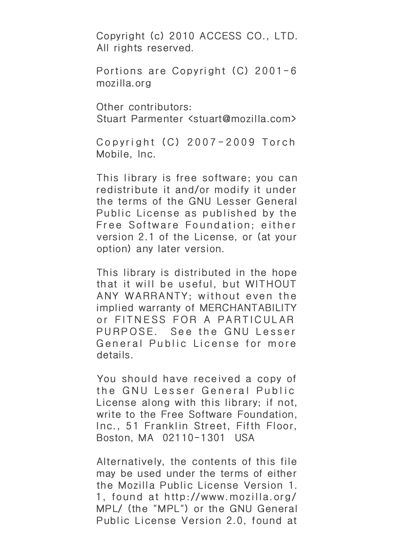Copyright (c) 2010 ACCESS CO., LTD. All rights reserved.

Portions are Copyright (C) 2001-6 mozilla.org

Other contributors: Stuart Parmenter <stuart@mozilla.com>

Copyright (C) 2007-2009 Torch Mobile, Inc.

This library is free software; you can redistribute it and/or modify it under the terms of the GNU Lesser General Public License as published by the Free Software Foundation; either version 2.1 of the License, or (at your option) any later version.

This library is distributed in the hope that it will be useful, but WITHOUT ANY WARRANTY; without even the implied warranty of MERCHANTABILITY or FITNESS FOR A PARTICULAR PURPOSE. See the GNU Lesser General Public License for more details.

You should have received a copy of the GNU Lesser General Public License along with this library; if not, write to the Free Software Foundation, Inc., 51 Franklin Street, Fifth Floor, Boston, MA 02110-1301 USA

Alternatively, the contents of this file may be used under the terms of either the Mozilla Public License Version 1. 1, found at http://www.mozilla.org/ MPL/ (the "MPL") or the GNU General Public License Version 2.0, found at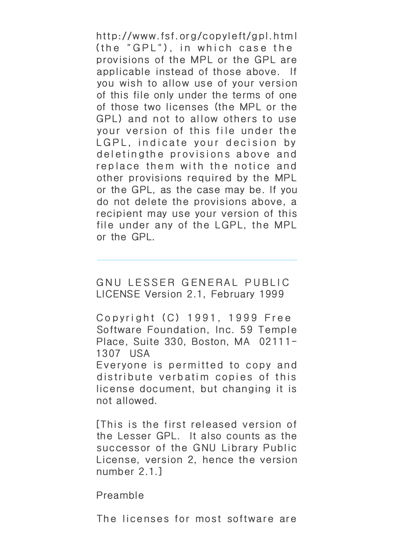http://www.fsf.org/copyleft/gpl.html (the "GPL"), in which case the provisions of the MPL or the GPL are applicable instead of those above. If you wish to allow use of your version of this file only under the terms of one of those two licenses (the MPL or the GPL) and not to allow others to use your version of this file under the LGPL, indicate your decision by deletingthe provisions above and replace them with the notice and other provisions required by the MPL or the GPL, as the case may be. If you do not delete the provisions above, a recipient may use your version of this file under any of the LGPL, the MPL or the GPL.

GNU LESSER GENERAL PUBLIC LICENSE Version 2.1, February 1999

Copyright (C) 1991, 1999 Free Software Foundation, Inc. 59 Temple Place, Suite 330, Boston, MA 02111- 1307 USA

Everyone is permitted to copy and distribute verbatim copies of this license document, but changing it is not allowed.

[This is the first released version of the Lesser GPL. It also counts as the successor of the GNU Library Public License, version 2, hence the version number 2.1.]

Preamble

The licenses for most software are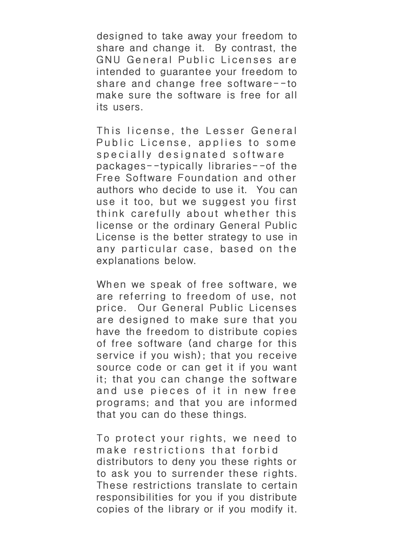designed to take away your freedom to share and change it. By contrast, the GNU General Public Licenses are intended to guarantee your freedom to share and change free software--to make sure the software is free for all its users.

This license, the Lesser General Public License, applies to some specially designated software packages--typically libraries--of the Free Software Foundation and other authors who decide to use it. You can use it too, but we suggest you first think carefully about whether this license or the ordinary General Public License is the better strategy to use in any particular case, based on the explanations below.

When we speak of free software, we are referring to freedom of use, not price. Our General Public Licenses are designed to make sure that you have the freedom to distribute copies of free software (and charge for this service if you wish); that you receive source code or can get it if you want it; that you can change the software and use pieces of it in new free programs; and that you are informed that you can do these things.

To protect your rights, we need to make restrictions that forbid distributors to deny you these rights or to ask you to surrender these rights. These restrictions translate to certain responsibilities for you if you distribute copies of the library or if you modify it.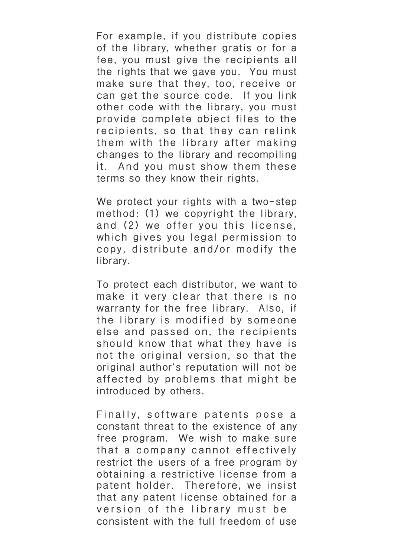For example, if you distribute copies of the library, whether gratis or for a fee, you must give the recipients all the rights that we gave you. You must make sure that they, too, receive or can get the source code. If you link other code with the library, you must provide complete object files to the recipients, so that they can relink them with the library after making changes to the library and recompiling it. And you must show them these terms so they know their rights.

We protect your rights with a two-step method: (1) we copyright the library, and (2) we offer you this license, wh ich gives you legal permission to copy, distribute and/or modify the library.

To protect each distributor, we want to make it very clear that there is no warranty for the free library. Also, if the library is modified by someone else and passed on, the recipients should know that what they have is not the original version, so that the original author's reputation will not be affected by problems that might be introduced by others.

Finally, software patents pose a constant threat to the existence of any free program. We wish to make sure that a company cannot effectively restrict the users of a free program by obtaining a restrictive license from a patent holder. Therefore, we insist that any patent license obtained for a version of the library must be consistent with the full freedom of use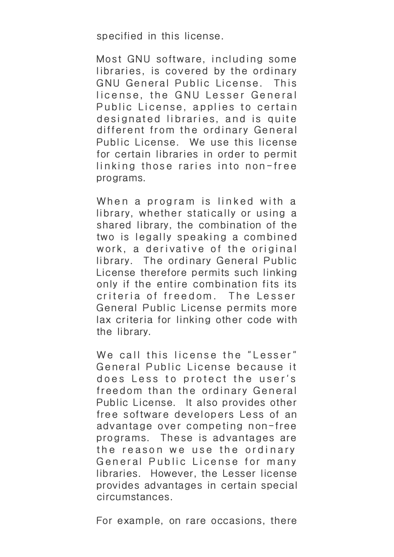specified in this license.

Most GNU software, including some libraries, is covered by the ordinary GNU General Public License. This license, the GNU Lesser General Public License, applies to certain designated libraries, and is quite different from the ordinary General Public License. We use this license for certain libraries in order to permit linking those raries into non-free programs.

When a program is linked with a library, whether statically or using a shared library, the combination of the two is legally speaking a combined work, a derivative of the original library. The ordinary General Public License therefore permits such linking only if the entire combination fits its criteria of freedom. The Lesser General Public License permits more lax criteria for linking other code with the library.

We call this license the "Lesser" General Public License because it does Less to protect the user's freedom than the ordinary General Public License. It also provides other free software developers Less of an advantage over competing non-free programs. These is advantages are the reason we use the ordinary General Public License for many libraries. However, the Lesser license provides advantages in certain special circumstances.

For example, on rare occasions, there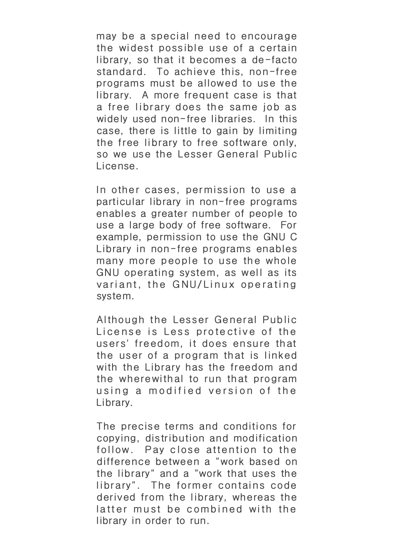may be a special need to encourage the widest possible use of a certain library, so that it becomes a de-facto standard. To achieve this, non-free programs must be allowed to use the library. A more frequent case is that a free library does the same job as widely used non-free libraries. In this case, there is little to gain by limiting the free library to free software only, so we use the Lesser General Public License.

In other cases, permission to use a particular library in non-free programs enables a greater number of people to use a large body of free software. For example, permission to use the GNU C Library in non-free programs enables many more people to use the whole GNU operating system, as well as its variant, the GNU/Linux operating system.

Although the Lesser General Public License is Less protective of the users' freedom, it does ensure that the user of a program that is linked with the Library has the freedom and the wherewithal to run that program using a modif ied version of the Library.

The precise terms and conditions for copying, distribution and modification follow. Pay close attention to the difference between a "work based on the library" and a "work that uses the library". The former contains code derived from the library, whereas the latter must be combined with the library in order to run.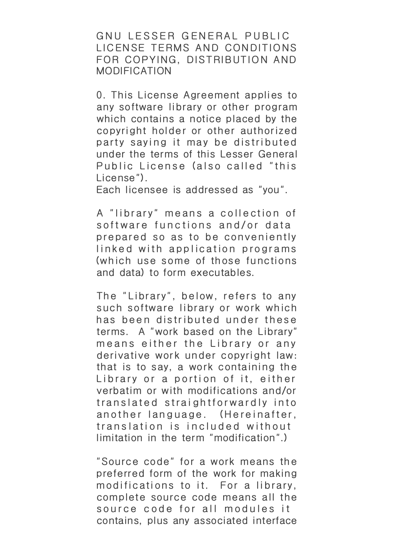GNU LESSER GENERAL PUBLIC LICENSE TERMS AND CONDITIONS FOR COPYING, DISTRIBUTION AND MODIFICATION

0. This License Agreement applies to any software library or other program which contains a notice placed by the copyright holder or other authorized party saying it may be distributed under the terms of this Lesser General Public License (also called "this License").

Each licensee is addressed as "you".

A "library" means a collection of software functions and/or data prepared so as to be conveniently linked with application programs (wh ich use some of those functions and data) to form executables.

The "Library", below, refers to any such software library or work which has been distributed under these terms. A "work based on the Library" means either the Library or any derivative work under copyright law: that is to say, a work containing the Library or a portion of it, either verbatim or with modifications and/or translated straightforwardly into another language. (Hereinafter, translation is included without limitation in the term "modification".)

"Source code" for a work means the preferred form of the work for making modifications to it. For a library, complete source code means all the source code for all modules it contains, plus any associated interface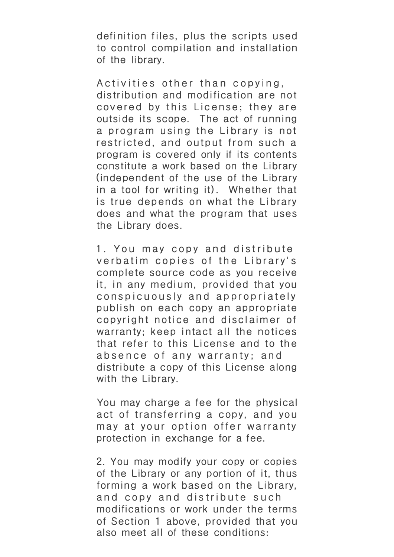definition files, plus the scripts used to control compilation and installation of the library.

Activities other than copying, distribution and modification are not covered by this License; they are outside its scope. The act of running a program using the Library is not restricted, and output from such a program is covered only if its contents constitute a work based on the Library (independent of the use of the Library in a tool for writing it). Whether that is true depends on what the Library does and what the program that uses the Library does.

1. You may copy and distribute verbatim copies of the Library's complete source code as you receive it, in any medium, provided that you conspicuously and appropriately publish on each copy an appropriate copyright notice and disclaimer of warranty; keep intact all the notices that refer to this License and to the absence of any warranty; and distribute a copy of this License along with the Library.

You may charge a fee for the physical act of transferring a copy, and you may at your option offer warranty protection in exchange for a fee.

2. You may modify your copy or copies of the Library or any portion of it, thus forming a work based on the Library, and copy and distribute such modifications or work under the terms of Section 1 above, provided that you also meet all of these conditions: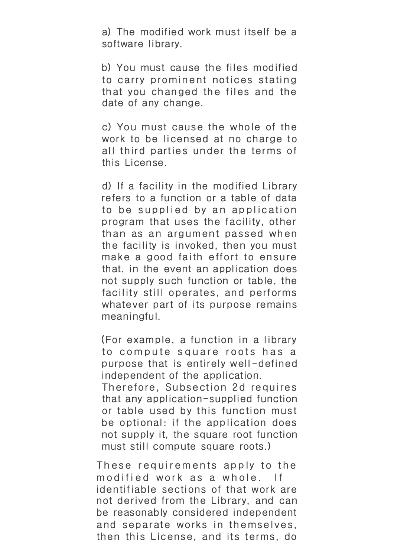a) The modified work must itself be a software library.

b) You must cause the files modified to carry prominent notices stating that you changed the files and the date of any change.

c) You must cause the whole of the work to be licensed at no charge to all third parties under the terms of this License.

d) If a facility in the modified Library refers to a function or a table of data to be supplied by an application program that uses the facility, other than as an argument passed when the facility is invoked, then you must make a good faith effort to ensure that, in the event an application does not supply such function or table, the facility still operates, and performs whatever part of its purpose remains meaningful.

(For example, a function in a library to compute square roots has a purpose that is entirely well-defined independent of the application.

Therefore, Subsection 2d requires that any application-supplied function or table used by this function must be optional: if the application does not supply it, the square root function must still compute square roots.)

These requirements apply to the modified work as a whole. If identifiable sections of that work are not derived from the Library, and can be reasonably considered independent and separate works in themselves, then this License, and its terms, do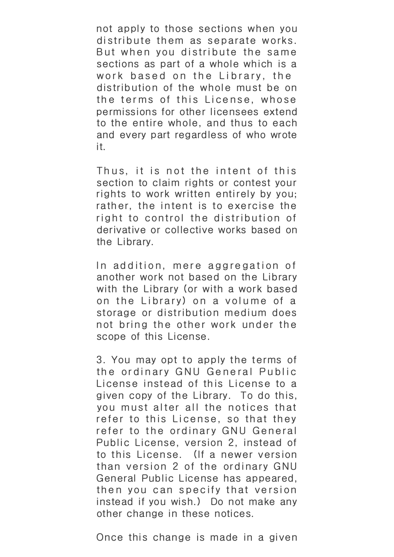not apply to those sections when you distribute them as separate works. But when you distribute the same sections as part of a whole which is a work based on the Library, the distribution of the whole must be on the terms of this License, whose permissions for other licensees extend to the entire whole, and thus to each and every part regardless of who wrote it.

Thus, it is not the intent of this section to claim rights or contest your rights to work written entirely by you; rather, the intent is to exercise the right to control the distribution of derivative or collective works based on the Library.

In addition, mere aggregation of another work not based on the Library with the Library (or with a work based on the Library) on a volume of a storage or distribution medium does not bring the other work under the scope of this License.

3. You may opt to apply the terms of the ordinary GNU General Public License instead of this License to a given copy of the Library. To do this, you must alter all the notices that refer to this License, so that they refer to the ordinary GNU General Public License, version 2, instead of to this License. (If a newer version than version 2 of the ordinary GNU General Public License has appeared, then you can specify that version instead if you wish.) Do not make any other change in these notices.

Once this change is made in a given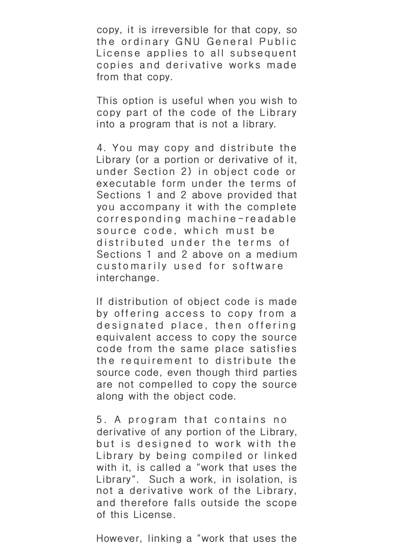copy, it is irreversible for that copy, so the ordinary GNU General Public License applies to all subsequent copies and derivative works made from that copy.

This option is useful when you wish to copy part of the code of the Library into a program that is not a library.

4. You may copy and distribute the Library (or a portion or derivative of it, under Section 2) in object code or executable form under the terms of Sections 1 and 2 above provided that you accompany it with the complete corresponding machine-readable source code, which must be distributed under the terms of Sections 1 and 2 above on a medium customarily used for software interchange.

If distribution of object code is made by offering access to copy from a designated place, then offering equivalent access to copy the source code from the same place satisfies the requirement to distribute the source code, even though third parties are not compelled to copy the source along with the object code.

5. A program that contains no derivative of any portion of the Library, but is designed to work with the Library by being compiled or linked with it, is called a "work that uses the Library". Such a work, in isolation, is not a derivative work of the Library, and therefore falls outside the scope of this License.

However, linking a "work that uses the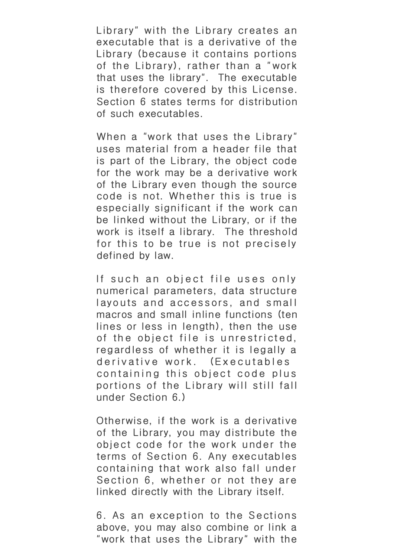Library" with the Library creates an executable that is a derivative of the Library (because it contains portions of the Library), rather than a "work that uses the library". The executable is therefore covered by this License. Section 6 states terms for distribution of such executables.

When a "work that uses the Library" uses material from a header file that is part of the Library, the object code for the work may be a derivative work of the Library even though the source code is not. Whether this is true is especially significant if the work can be linked without the Library, or if the work is itself a library. The threshold for this to be true is not precisely defined by law.

If such an object file uses only numerical parameters, data structure layouts and accessors, and small macros and small inline functions (ten lines or less in length), then the use of the object file is unrestricted, regardless of whether it is legally a derivative work. (Executables containing this object code plus portions of the Library will still fall under Section 6.)

Otherwise, if the work is a derivative of the Library, you may distribute the object code for the work under the terms of Section 6. Any executables containing that work also fall under Section 6, whether or not they are linked directly with the Library itself.

6. As an exception to the Sections above, you may also combine or link a "work that uses the Library" with the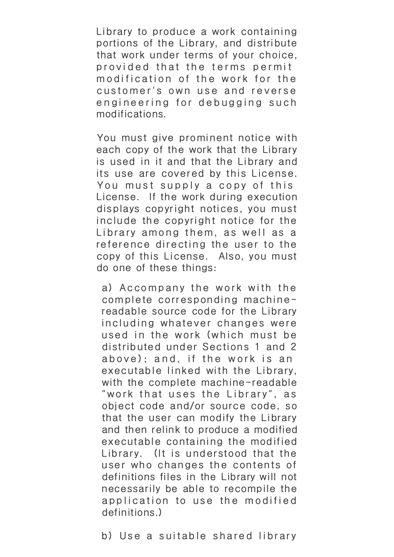Library to produce a work containing portions of the Library, and distribute that work under terms of your choice, provided that the terms permit modification of the work for the customer's own use and reverse engineering for debugging such modifications.

You must give prominent notice with each copy of the work that the Library is used in it and that the Library and its use are covered by this License. You must supply a copy of this License. If the work during execution displays copyright notices, you must include the copyright notice for the Library among them, as well as a reference directing the user to the copy of this License. Also, you must do one of these things:

a) Accompany the work with the complete corresponding machinereadable source code for the Library including whatever changes were used in the work (which must be distributed under Sections 1 and 2 above); and, if the work is an executable linked with the Library, with the complete machine-readable "work that uses the Library", as object code and/or source code, so that the user can modify the Library and then relink to produce a modified executable containing the modified Library. (It is understood that the user who changes the contents of definitions files in the Library will not necessarily be able to recompile the application to use the modified definitions.)

b) Use a suitable shared library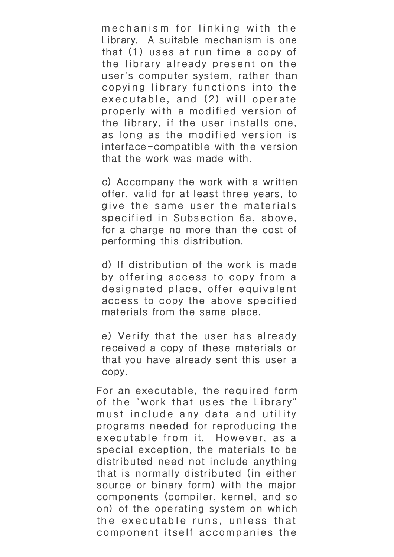mechanism for linking with the Library. A suitable mechanism is one that (1) uses at run time a copy of the library already present on the user's computer system, rather than copying library functions into the executable, and (2) will operate properly with a modified version of the library, if the user installs one, as long as the modified version is interface-compatible with the version that the work was made with.

c) Accompany the work with a written offer, valid for at least three years, to give the same user the materials specified in Subsection 6a, above, for a charge no more than the cost of performing this distribution.

d) If distribution of the work is made by offering access to copy from a designated place, offer equivalent access to copy the above specified materials from the same place.

e) Verify that the user has already received a copy of these materials or that you have already sent this user a copy.

For an executable, the required form of the "work that uses the Library" must include any data and utility programs needed for reproducing the executable from it. However, as a special exception, the materials to be distributed need not include anything that is normally distributed (in either source or binary form) with the major components (compiler, kernel, and so on) of the operating system on which the executable runs, unless that component itself accompanies the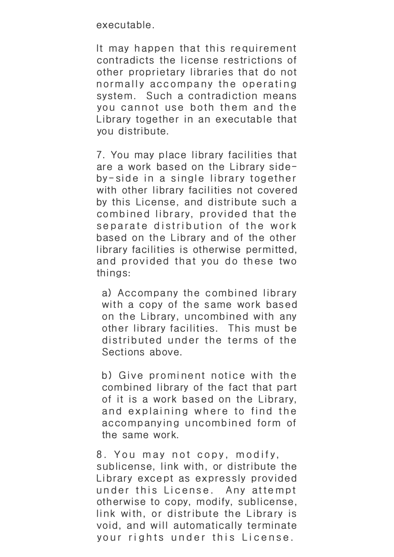executable.

It may happen that this requirement contradicts the license restrictions of other proprietary libraries that do not normally accompany the operating system. Such a contradiction means you cannot use both them and the Library together in an executable that you distribute.

7. You may place library facilities that are a work based on the Library sideby-side in a single library together with other library facilities not covered by this License, and distribute such a combined library, provided that the separate distribution of the work based on the Library and of the other library facilities is otherwise permitted, and provided that you do these two things:

a) Accompany the combined library with a copy of the same work based on the Library, uncombined with any other library facilities. This must be distributed under the terms of the Sections above.

b) Give prominent notice with the combined library of the fact that part of it is a work based on the Library, and explaining where to find the accompanying uncombined form of the same work.

8. You may not copy, modify, sublicense, link with, or distribute the Library except as expressly provided under this License. Any attempt otherwise to copy, modify, sublicense, link with, or distribute the Library is void, and will automatically terminate your rights under this License.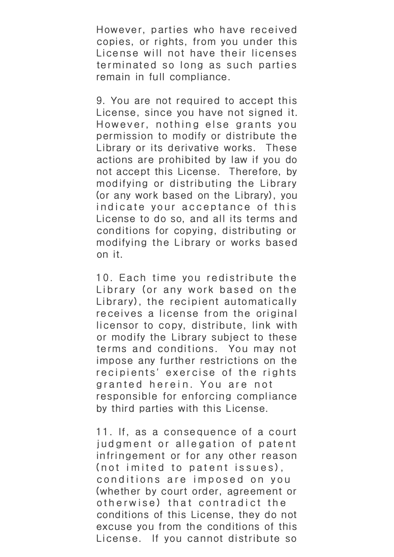However, parties who have received copies, or rights, from you under this License will not have their licenses terminated so long as such parties remain in full compliance.

9. You are not required to accept this License, since you have not signed it. However, nothing else grants you permission to modify or distribute the Library or its derivative works. These actions are prohibited by law if you do not accept this License. Therefore, by modifying or distributing the Library (or any work based on the Library), you indicate your acceptance of this License to do so, and all its terms and conditions for copying, distributing or modifying the Library or works based on it.

10. Each time you redistribute the Library (or any work based on the Library), the recipient automatically receives a license from the original licensor to copy, distribute, link with or modify the Library subject to these terms and conditions. You may not impose any further restrictions on the recipients' exercise of the rights granted herein. You are not responsible for enforcing compliance by third parties with this License.

11. If, as a consequence of a court judgment or allegation of patent infringement or for any other reason (not imited to patent issues), conditions are imposed on you (whether by court order, agreement or otherwise) that contradict the conditions of this License, they do not excuse you from the conditions of this License. If you cannot distribute so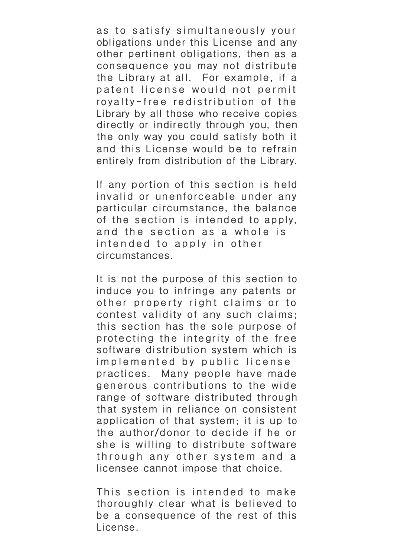as to satisfy simultaneously your obligations under this License and any other pertinent obligations, then as a consequence you may not distribute the Library at all. For example, if a patent license would not permit royalty-free redistribution of the Library by all those who receive copies directly or indirectly through you, then the only way you could satisfy both it and this License would be to refrain entirely from distribution of the Library.

If any portion of this section is held invalid or unenforceable under any particular circumstance, the balance of the section is intended to apply, and the section as a whole is intended to apply in other circumstances.

It is not the purpose of this section to induce you to infringe any patents or other property right claims or to contest validity of any such claims; this section has the sole purpose of protecting the integrity of the free software distribution system which is implemented by public license practices. Many people have made generous contributions to the wide range of software distributed through that system in reliance on consistent application of that system; it is up to the author/donor to decide if he or she is willing to distribute software through any other system and a licensee cannot impose that choice.

This section is intended to make thoroughly clear what is believed to be a consequence of the rest of this License.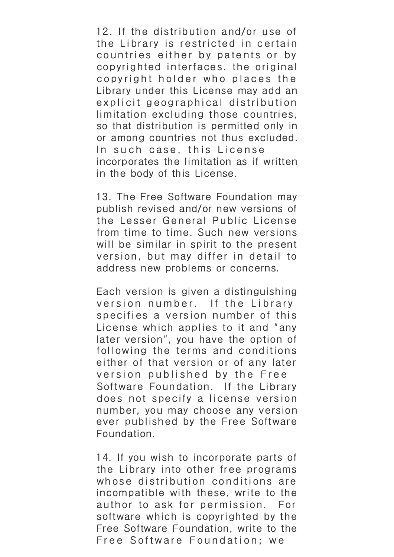12. If the distribution and/or use of the Library is restricted in certain countries either by patents or by copyrighted interfaces, the original copyright holder who places the Library under this License may add an explicit geographical distribution limitation excluding those countries, so that distribution is permitted only in or among countries not thus excluded. In such case, this License incorporates the limitation as if written in the body of this License.

13. The Free Software Foundation may publish revised and/or new versions of the Lesser General Public License from time to time. Such new versions will be similar in spirit to the present version, but may differ in detail to address new problems or concerns.

Each version is given a distinguishing version number. If the Library specifies a version number of this License wh ich applies to it and "any later version", you have the option of following the terms and conditions either of that version or of any later version published by the Free Software Foundation. If the Library does not specify a license version number, you may choose any version ever published by the Free Software Foundation.

14. If you wish to incorporate parts of the Library into other free programs whose distribution conditions are incompatible with these, write to the author to ask for permission. For software which is copyrighted by the Free Software Foundation, write to the Free Software Foundation; we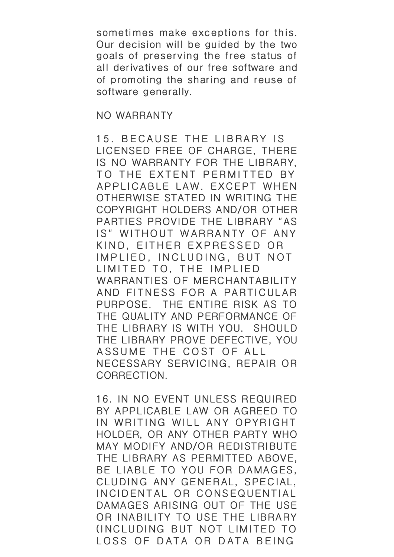sometimes make exceptions for this. Our decision will be guided by the two goals of preserving the free status of all derivatives of our free software and of promoting the sharing and reuse of software generally.

## NO WARRANTY

15. BECAUSE THE LIBRARY IS LICENSED FREE OF CHARGE, THERE IS NO WARRANTY FOR THE LIBRARY, TO THE EXTENT PERMITTED BY APPLICABLE LAW. EXCEPT WHEN OTHERWISE STATED IN WRITING THE COPYRIGHT HOLDERS AND/OR OTHER PARTIES PROVIDE THE LIBRARY "AS IS" WITHOUT WARRANTY OF ANY KIND, EITHER EXPRESSED OR IMPLIED, INCLUDING, BUT NOT LIMITED TO, THE IMPLIED WARRANTIES OF MERCHANTABILITY AND FITNESS FOR A PARTICULAR PURPOSE. THE ENTIRE RISK AS TO THE QUALITY AND PERFORMANCE OF THE LIBRARY IS WITH YOU. SHOULD THE LIBRARY PROVE DEFECTIVE, YOU ASSUME THE COST OF ALL NECESSARY SERVICING, REPAIR OR CORRECTION.

16. IN NO EVENT UNLESS REQUIRED BY APPLICABLE LAW OR AGREED TO IN WRITING WILL ANY OPYRIGHT HOLDER, OR ANY OTHER PARTY WHO MAY MODIFY AND/OR REDISTRIBUTE THE LIBRARY AS PERMITTED ABOVE, BE LIABLE TO YOU FOR DAMAGES, CLUDING ANY GENERAL, SPECIAL, INCIDENTAL OR CONSEQUENTIAL DAMAGES ARISING OUT OF THE USE OR INABILITY TO USE THE LIBRARY (INCLUDING BUT NOT LIMITED TO LOSS OF DATA OR DATA BEING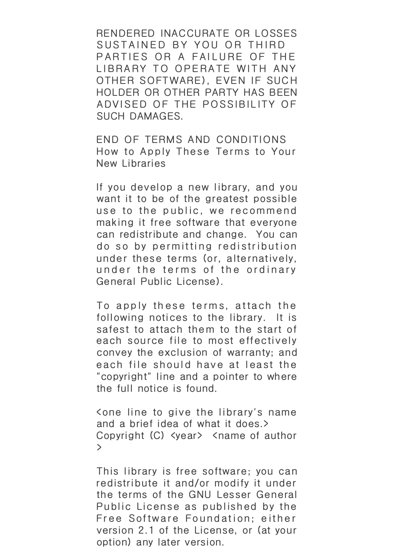RENDERED INACCURATE OR LOSSES SUSTAINED BY YOU OR THIRD PARTIES OR A FAILURE OF THE LIBRARY TO OPERATE WITH ANY OTHER SOFTWARE), EVEN IF SUCH HOLDER OR OTHER PARTY HAS BEEN ADVISED OF THE POSSIBILITY OF SUCH DAMAGES.

END OF TERMS AND CONDITIONS How to Apply These Terms to Your New Libraries

If you develop a new library, and you want it to be of the greatest possible use to the public, we recommend making it free software that everyone can redistribute and change. You can do so by permitting redistribution under these terms (or, alternatively, under the terms of the ordinary General Public License).

To apply these terms, attach the following notices to the library. It is safest to attach them to the start of each source file to most effectively convey the exclusion of warranty; and each file should have at least the "copyright" line and a pointer to where the full notice is found.

<one line to give the library's name and a brief idea of what it does.> Copyright (C) <year> <name of author >

This library is free software; you can redistribute it and/or modify it under the terms of the GNU Lesser General Public License as published by the Free Software Foundation; either version 2.1 of the License, or (at your option) any later version.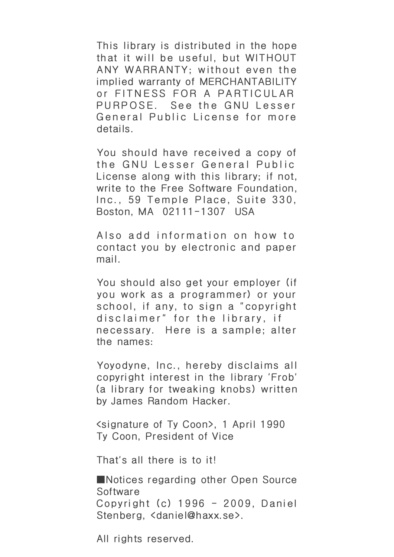This library is distributed in the hope that it will be useful, but WITHOUT ANY WARRANTY; without even the implied warranty of MERCHANTABILITY or FITNESS FOR A PARTICULAR PURPOSE. See the GNU Lesser General Public License for more details.

You should have received a copy of the GNU Lesser General Public License along with this library; if not, write to the Free Software Foundation, Inc., 59 Temple Place, Suite 330, Boston, MA 02111-1307 USA

Also add information on how to contact you by electronic and paper mail.

You should also get your employer (if you work as a programmer) or your school, if any, to sign a "copyright disc laimer" for the library, if necessary. Here is a sample; alter the names:

Yoyodyne, Inc., hereby disclaims all copyright interest in the library 'Frob' (a library for tweaking knobs) written by James Random Hacker.

<signature of Ty Coon>, 1 April 1990 Ty Coon, President of Vice

That's all there is to it!

■Notices regarding other Open Source **Software** Copyright (c) 1996 - 2009, Daniel Stenberg, <daniel@haxx.se>.

All rights reserved.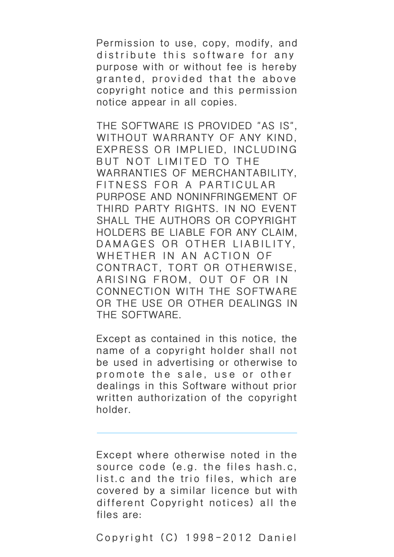Permission to use, copy, modify, and distribute this software for any purpose with or without fee is hereby granted, provided that the above copyright notice and this permission notice appear in all copies.

THE SOFTWARE IS PROVIDED "AS IS", WITHOUT WARRANTY OF ANY KIND, EXPRESS OR IMPLIED, INCLUDING BUT NOT LIMITED TO THE WARRANTIES OF MERCHANTABILITY, FITNESS FOR A PARTICULAR PURPOSE AND NONINFRINGEMENT OF THIRD PARTY RIGHTS. IN NO EVENT SHALL THE AUTHORS OR COPYRIGHT HOLDERS BE LIABLE FOR ANY CLAIM, DAMAGES OR OTHER LIABILITY. WHETHER IN AN ACTION OF CONTRACT, TORT OR OTHERWISE, ARISING FROM, OUT OF OR IN CONNECTION WITH THE SOFTWARE OR THE USE OR OTHER DEALINGS IN THE SOFTWARE.

Except as contained in this notice, the name of a copyright holder shall not be used in advertising or otherwise to promote the sale, use or other dealings in this Software without prior written authorization of the copyright holder.

Except where otherwise noted in the source code (e.g. the files hash.c, list.c and the trio files, which are covered by a similar licence but with different Copyright notices) all the files are:

Copyright (C) 1998-2012 Daniel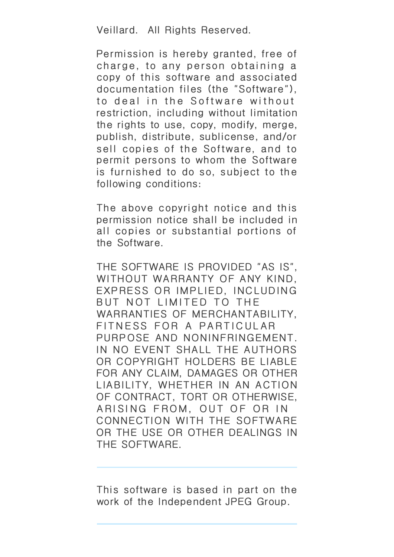Veillard. All Rights Reserved.

Permission is hereby granted, free of charge, to any person obtaining a copy of this software and associated documentation files (the "Software"), to deal in the Software without restriction, including without limitation the rights to use, copy, modify, merge, publish, distribute, sublicense, and/or sell copies of the Software, and to permit persons to whom the Software is furnished to do so, subject to the following conditions:

The above copyright notice and this permission notice shall be included in all copies or substantial portions of the Software.

THE SOFTWARE IS PROVIDED "AS IS", WITHOUT WARRANTY OF ANY KIND, EXPRESS OR IMPLIED, INCLUDING BUT NOT LIMITED TO THE WARRANTIES OF MERCHANTABILITY, FITNESS FOR A PARTICULAR PURPOSE AND NONINFRINGEMENT. IN NO EVENT SHALL THE AUTHORS OR COPYRIGHT HOLDERS BE LIABLE FOR ANY CLAIM, DAMAGES OR OTHER LIABILITY, WHETHER IN AN ACTION OF CONTRACT, TORT OR OTHERWISE, ARISING FROM, OUT OF OR IN CONNECTION WITH THE SOFTWARE OR THE USE OR OTHER DEALINGS IN THE SOFTWARE.

This software is based in part on the work of the Independent JPEG Group.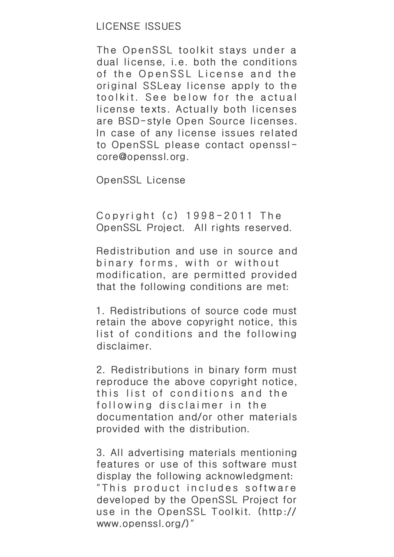The OpenSSL toolkit stays under a dual license, i.e. both the conditions of the OpenSSL License and the original SSLeay license apply to the toolkit. See below for the actual license texts. Actually both licenses are BSD-style Open Source licenses. In case of any license issues related to OpenSSL please contact opensslcore@openssl.org.

OpenSSL License

Copyright (c) 1998-2011 The OpenSSL Project. All rights reserved.

Redistribution and use in source and binary forms, with or without modification, are permitted provided that the following conditions are met:

1. Redistributions of source code must retain the above copyright notice, this list of conditions and the following disclaimer.

2. Redistributions in binary form must reproduce the above copyright notice, this list of conditions and the following disclaimer in the documentation and/or other materials provided with the distribution.

3. All advertising materials mentioning features or use of this software must display the following acknowledgment: "This product includes software developed by the OpenSSL Project for use in the OpenSSL Toolkit. (http:// www.openssl.org/)"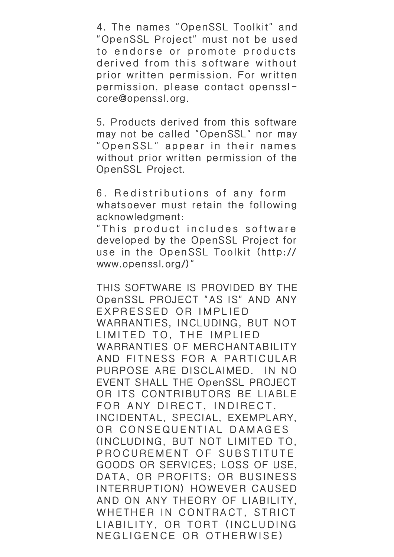4. The names "OpenSSL Toolkit" and "OpenSSL Project" must not be used to endorse or promote products derived from this software without prior written permission. For written permission, please contact opensslcore@openssl.org.

5. Products derived from this software may not be called "OpenSSL" nor may "OpenSSL" appear in their names without prior written permission of the OpenSSL Project.

6. Redistributions of any form whatsoever must retain the following acknowledgment:

"This product includes software developed by the OpenSSL Project for use in the OpenSSL Toolkit (http:// www.openssl.org/)"

THIS SOFTWARE IS PROVIDED BY THE OpenSSL PROJECT "AS IS" AND ANY EXPRESSED OR IMPLIED WARRANTIES, INCLUDING, BUT NOT LIMITED TO, THE IMPLIED WARRANTIES OF MERCHANTABILITY AND FITNESS FOR A PARTICULAR PURPOSE ARE DISCLAIMED. IN NO EVENT SHALL THE OpenSSL PROJECT OR ITS CONTRIBUTORS BE LIABLE FOR ANY DIRECT, INDIRECT, INCIDENTAL, SPECIAL, EXEMPLARY, OR CONSEQUENTIAL DAMAGES (INCLUDING, BUT NOT LIMITED TO, PROCUREMENT OF SUBSTITUTE GOODS OR SERVICES; LOSS OF USE, DATA, OR PROFITS; OR BUSINESS INTERRUPTION) HOWEVER CAUSED AND ON ANY THEORY OF LIABILITY, WHETHER IN CONTRACT, STRICT LIABILITY, OR TORT (INCLUDING NEGLIGENCE OR OTHERWISE)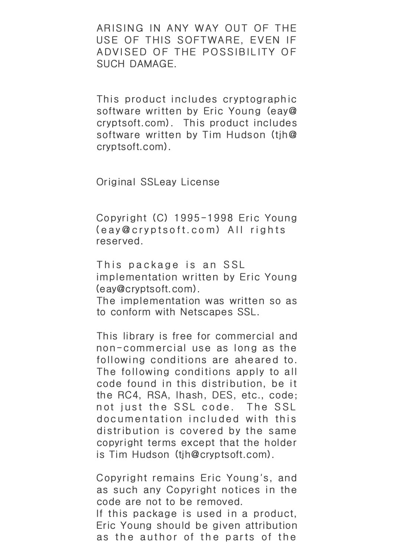ARISING IN ANY WAY OUT OF THE USE OF THIS SOFTWARE, EVEN IF ADVISED OF THE POSSIBILITY OF SUCH DAMAGE.

This product includes cryptographic software written by Eric Young (eay@ cryptsoft.com). This product includes software written by Tim Hudson (tjh@ cryptsoft.com).

Original SSLeay License

Copyright (C) 1995-1998 Eric Young (eay@cryptsoft.com) All rights reserved.

This package is an SSL implementation written by Eric Young (eay@cryptsoft.com).

The implementation was written so as to conform with Netscapes SSL.

This library is free for commercial and non-commercial use as long as the following conditions are aheared to. The following conditions apply to all code found in this distribution, be it the RC4, RSA, lhash, DES, etc., code; not just the SSL code. The SSL documentation included with this distribution is covered by the same copyright terms except that the holder is Tim Hudson (tjh@cryptsoft.com).

Copyright remains Eric Young's, and as such any Copyright notices in the code are not to be removed. If this package is used in a product, Eric Young should be given attribution as the author of the parts of the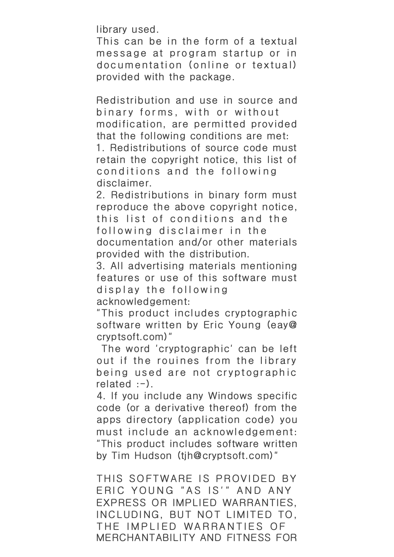library used.

This can be in the form of a textual message at program startup or in documentation (online or textual) provided with the package.

Redistribution and use in source and binary forms, with or without modification, are permitted provided that the following conditions are met: 1. Redistributions of source code must retain the copyright notice, this list of conditions and the following

disclaimer.

2. Redistributions in binary form must reproduce the above copyright notice, this list of conditions and the following disclaimer in the documentation and/or other materials provided with the distribution.

3. All advertising materials mentioning features or use of this software must display the following acknowledgement:

"This product includes cryptographic software written by Eric Young (eay@ cryptsoft.com)"

 The word 'cryptographic' can be left out if the rouines from the library being used are not cryptographic  $related : -).$ 

4. If you include any Windows specific code (or a derivative thereof) from the apps directory (application code) you must include an acknowledgement: "This product includes software written by Tim Hudson (tjh@cryptsoft.com)"

THIS SOFTWARE IS PROVIDED BY ERIC YOUNG "AS IS'" AND ANY EXPRESS OR IMPLIED WARRANTIES, INCLUDING, BUT NOT LIMITED TO, THE IMPLIED WARRANTIES OF MERCHANTABILITY AND FITNESS FOR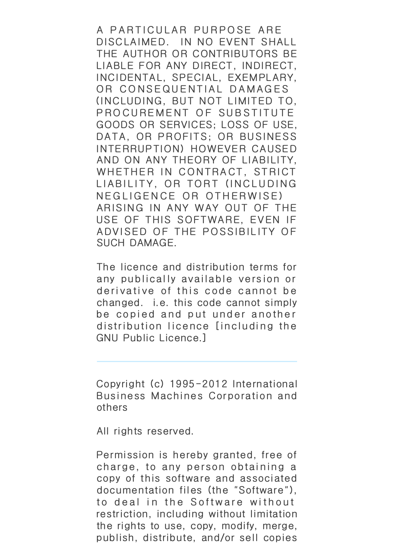A PARTICULAR PURPOSE ARE DISCLAIMED. IN NO EVENT SHALL THE AUTHOR OR CONTRIBUTORS BE LIABLE FOR ANY DIRECT, INDIRECT, INCIDENTAL, SPECIAL, EXEMPLARY, OR CONSEQUENTIAL DAMAGES (INCLUDING, BUT NOT LIMITED TO, PROCUREMENT OF SUBSTITUTE GOODS OR SERVICES; LOSS OF USE, DATA, OR PROFITS; OR BUSINESS INTERRUPTION) HOWEVER CAUSED AND ON ANY THEORY OF LIABILITY, WHETHER IN CONTRACT, STRICT LIABILITY, OR TORT (INCLUDING NEGLIGENCE OR OTHERWISE) ARISING IN ANY WAY OUT OF THE USE OF THIS SOFTWARE, EVEN IF ADVISED OF THE POSSIBILITY OF SUCH DAMAGE.

The licence and distribution terms for any publically available version or derivative of this code cannot be changed. i.e. this code cannot simply be copied and put under another distribution licence [including the GNU Public Licence.]

Copyright (c) 1995-2012 International Business Machines Corporation and others

All rights reserved.

Permission is hereby granted, free of charge, to any person obtaining a copy of this software and associated documentation files (the "Software"), to deal in the Software without restriction, including without limitation the rights to use, copy, modify, merge, publish, distribute, and/or sell copies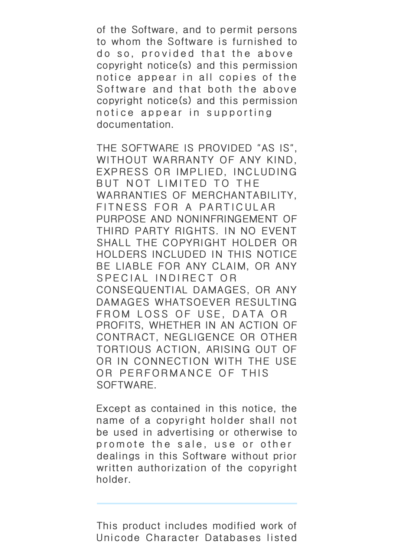of the Software, and to permit persons to whom the Software is furnished to do so, provided that the above copyright notice(s) and this permission notice appear in all copies of the Software and that both the above copyright notice(s) and this permission notice appear in supporting documentation.

THE SOFTWARE IS PROVIDED "AS IS", WITHOUT WARRANTY OF ANY KIND, EXPRESS OR IMPLIED, INCLUDING BUT NOT LIMITED TO THE WARRANTIES OF MERCHANTABILITY, FITNESS FOR A PARTICULAR PURPOSE AND NONINFRINGEMENT OF THIRD PARTY RIGHTS. IN NO EVENT SHALL THE COPYRIGHT HOLDER OR HOLDERS INCLUDED IN THIS NOTICE BE LIABLE FOR ANY CLAIM, OR ANY SPECIAL INDIRECT OR CONSEQUENTIAL DAMAGES, OR ANY DAMAGES WHATSOEVER RESULTING FROM LOSS OF USE, DATA OR PROFITS, WHETHER IN AN ACTION OF CONTRACT, NEGLIGENCE OR OTHER TORTIOUS ACTION, ARISING OUT OF OR IN CONNECTION WITH THE USE OR PERFORMANCE OF THIS SOFTWARE.

Except as contained in this notice, the name of a copyright holder shall not be used in advertising or otherwise to promote the sale, use or other dealings in this Software without prior written authorization of the copyright holder.

This product includes modified work of Unicode Character Databases listed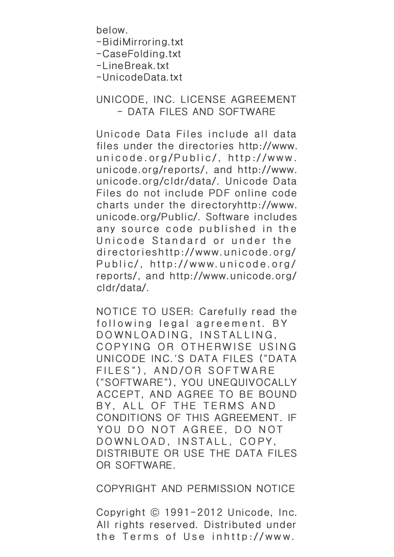below.

-BidiMirroring.txt

-CaseFolding.txt

-LineBreak.txt

-UnicodeData.txt

## UNICODE, INC. LICENSE AGREEMENT - DATA FILES AND SOFTWARE

Unicode Data Files include all data files under the directories http://www. unicode.org/Public/, http://www. unicode.org/reports/, and http://www. unicode.org/cldr/data/. Unicode Data Files do not include PDF online code charts under the directoryhttp://www. unicode.org/Public/. Software includes any source code published in the Unicode Standard or under the directorieshttp://www.unicode.org/ Public/, http://www.unicode.org/ reports/, and http://www.unicode.org/ cldr/data/.

NOTICE TO USER: Carefully read the following legal agreement. BY DOWNLOADING, INSTALLING, COPYING OR OTHERWISE USING UNICODE INC.'S DATA FILES ("DATA FILES"), AND/OR SOFTWARE ("SOFTWARE"), YOU UNEQUIVOCALLY ACCEPT, AND AGREE TO BE BOUND BY, ALL OF THE TERMS AND CONDITIONS OF THIS AGREEMENT. IF YOU DO NOT AGREE, DO NOT DOWNLOAD, INSTALL, COPY, DISTRIBUTE OR USE THE DATA FILES OR SOFTWARE.

COPYRIGHT AND PERMISSION NOTICE

Copyright © 1991-2012 Unicode, Inc. All rights reserved. Distributed under the Terms of Use inhttp://www.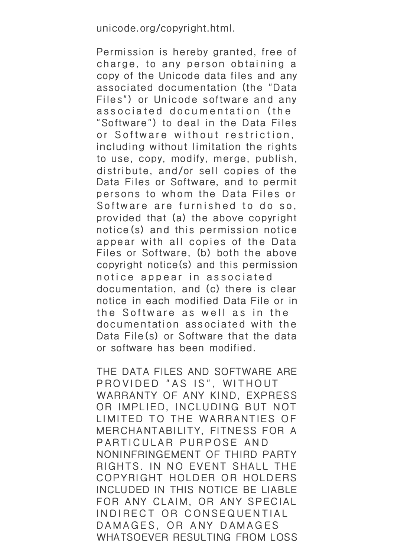unicode.org/copyright.html.

Permission is hereby granted, free of charge, to any person obtaining a copy of the Unicode data files and any associated documentation (the "Data Files") or Unicode software and any associated documentation (the "Software") to deal in the Data Files or Software without restriction, including without limitation the rights to use, copy, modify, merge, publish, distribute, and/or sell copies of the Data Files or Software, and to permit persons to whom the Data Files or Software are furnished to do so, provided that (a) the above copyright notice(s) and this permission notice appear with all copies of the Data Files or Software, (b) both the above copyright notice(s) and this permission notice appear in associated documentation, and (c) there is clear notice in each modified Data File or in the Software as well as in the documentation associated with the Data File(s) or Software that the data or software has been modified.

THE DATA FILES AND SOFTWARE ARE PROVIDED "AS IS", WITHOUT WARRANTY OF ANY KIND, EXPRESS OR IMPLIED, INCLUDING BUT NOT LIMITED TO THE WARRANTIES OF MERCHANTABILITY, FITNESS FOR A PARTICULAR PURPOSE AND NONINFRINGEMENT OF THIRD PARTY RIGHTS. IN NO EVENT SHALL THE COPYRIGHT HOLDER OR HOLDERS INCLUDED IN THIS NOTICE BE LIABLE FOR ANY CLAIM, OR ANY SPECIAL INDIRECT OR CONSEQUENTIAL DAMAGES, OR ANY DAMAGES WHATSOEVER RESULTING FROM LOSS